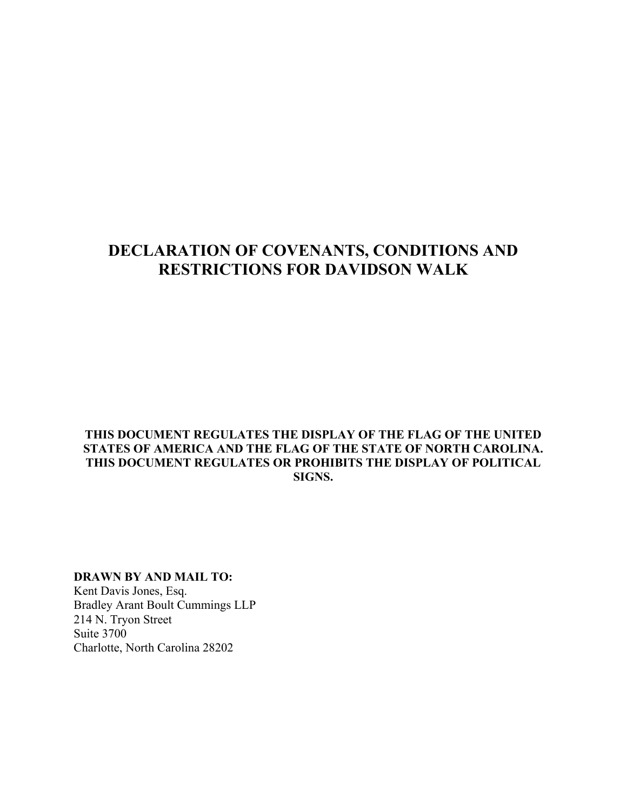# **DECLARATION OF COVENANTS, CONDITIONS AND RESTRICTIONS FOR DAVIDSON WALK**

### **THIS DOCUMENT REGULATES THE DISPLAY OF THE FLAG OF THE UNITED STATES OF AMERICA AND THE FLAG OF THE STATE OF NORTH CAROLINA. THIS DOCUMENT REGULATES OR PROHIBITS THE DISPLAY OF POLITICAL SIGNS.**

# **DRAWN BY AND MAIL TO:**

Kent Davis Jones, Esq. Bradley Arant Boult Cummings LLP 214 N. Tryon Street Suite 3700 Charlotte, North Carolina 28202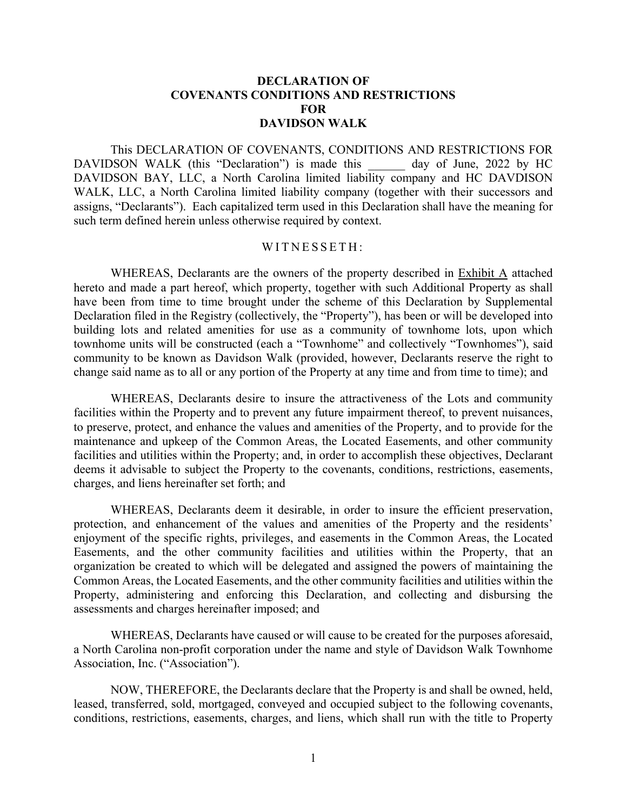#### **DECLARATION OF COVENANTS CONDITIONS AND RESTRICTIONS FOR DAVIDSON WALK**

This DECLARATION OF COVENANTS, CONDITIONS AND RESTRICTIONS FOR DAVIDSON WALK (this "Declaration") is made this day of June, 2022 by HC DAVIDSON BAY, LLC, a North Carolina limited liability company and HC DAVDISON WALK, LLC, a North Carolina limited liability company (together with their successors and assigns, "Declarants"). Each capitalized term used in this Declaration shall have the meaning for such term defined herein unless otherwise required by context.

#### WITNESSETH:

WHEREAS, Declarants are the owners of the property described in Exhibit A attached hereto and made a part hereof, which property, together with such Additional Property as shall have been from time to time brought under the scheme of this Declaration by Supplemental Declaration filed in the Registry (collectively, the "Property"), has been or will be developed into building lots and related amenities for use as a community of townhome lots, upon which townhome units will be constructed (each a "Townhome" and collectively "Townhomes"), said community to be known as Davidson Walk (provided, however, Declarants reserve the right to change said name as to all or any portion of the Property at any time and from time to time); and

WHEREAS, Declarants desire to insure the attractiveness of the Lots and community facilities within the Property and to prevent any future impairment thereof, to prevent nuisances, to preserve, protect, and enhance the values and amenities of the Property, and to provide for the maintenance and upkeep of the Common Areas, the Located Easements, and other community facilities and utilities within the Property; and, in order to accomplish these objectives, Declarant deems it advisable to subject the Property to the covenants, conditions, restrictions, easements, charges, and liens hereinafter set forth; and

WHEREAS, Declarants deem it desirable, in order to insure the efficient preservation, protection, and enhancement of the values and amenities of the Property and the residents' enjoyment of the specific rights, privileges, and easements in the Common Areas, the Located Easements, and the other community facilities and utilities within the Property, that an organization be created to which will be delegated and assigned the powers of maintaining the Common Areas, the Located Easements, and the other community facilities and utilities within the Property, administering and enforcing this Declaration, and collecting and disbursing the assessments and charges hereinafter imposed; and

WHEREAS, Declarants have caused or will cause to be created for the purposes aforesaid, a North Carolina non-profit corporation under the name and style of Davidson Walk Townhome Association, Inc. ("Association").

NOW, THEREFORE, the Declarants declare that the Property is and shall be owned, held, leased, transferred, sold, mortgaged, conveyed and occupied subject to the following covenants, conditions, restrictions, easements, charges, and liens, which shall run with the title to Property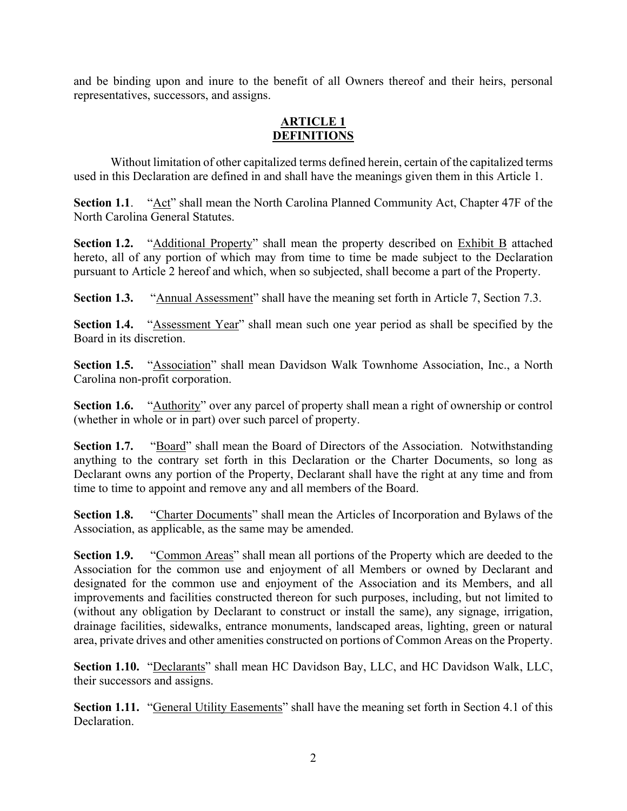and be binding upon and inure to the benefit of all Owners thereof and their heirs, personal representatives, successors, and assigns.

### **ARTICLE 1 DEFINITIONS**

Without limitation of other capitalized terms defined herein, certain of the capitalized terms used in this Declaration are defined in and shall have the meanings given them in this Article 1.

**Section 1.1**. "Act" shall mean the North Carolina Planned Community Act, Chapter 47F of the North Carolina General Statutes.

**Section 1.2.** "Additional Property" shall mean the property described on Exhibit B attached hereto, all of any portion of which may from time to time be made subject to the Declaration pursuant to Article 2 hereof and which, when so subjected, shall become a part of the Property.

**Section 1.3.** "Annual Assessment" shall have the meaning set forth in Article 7, Section 7.3.

**Section 1.4.** "Assessment Year" shall mean such one year period as shall be specified by the Board in its discretion.

**Section 1.5.** "Association" shall mean Davidson Walk Townhome Association, Inc., a North Carolina non-profit corporation.

**Section 1.6.** "Authority" over any parcel of property shall mean a right of ownership or control (whether in whole or in part) over such parcel of property.

**Section 1.7.** "Board" shall mean the Board of Directors of the Association. Notwithstanding anything to the contrary set forth in this Declaration or the Charter Documents, so long as Declarant owns any portion of the Property, Declarant shall have the right at any time and from time to time to appoint and remove any and all members of the Board.

**Section 1.8.** "Charter Documents" shall mean the Articles of Incorporation and Bylaws of the Association, as applicable, as the same may be amended.

**Section 1.9.** "Common Areas" shall mean all portions of the Property which are deeded to the Association for the common use and enjoyment of all Members or owned by Declarant and designated for the common use and enjoyment of the Association and its Members, and all improvements and facilities constructed thereon for such purposes, including, but not limited to (without any obligation by Declarant to construct or install the same), any signage, irrigation, drainage facilities, sidewalks, entrance monuments, landscaped areas, lighting, green or natural area, private drives and other amenities constructed on portions of Common Areas on the Property.

**Section 1.10.** "Declarants" shall mean HC Davidson Bay, LLC, and HC Davidson Walk, LLC, their successors and assigns.

Section 1.11. "General Utility Easements" shall have the meaning set forth in Section 4.1 of this Declaration.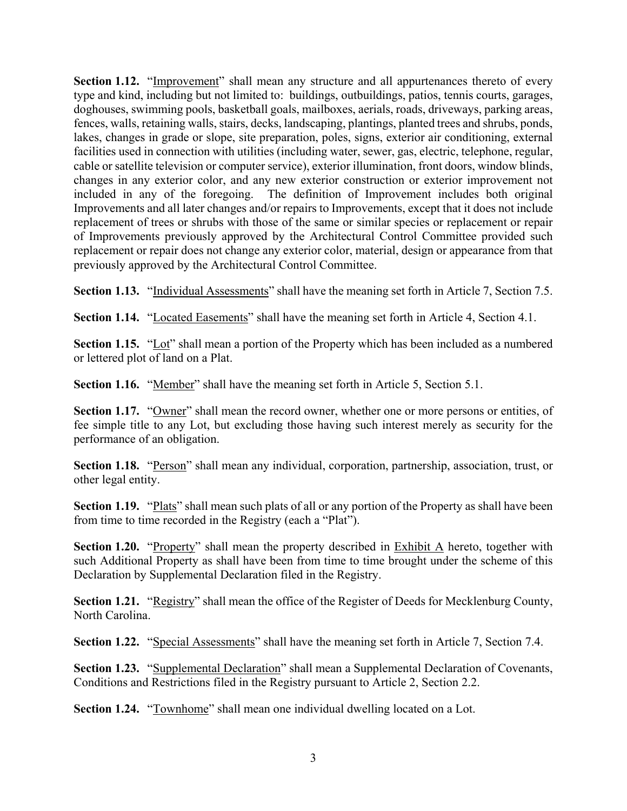**Section 1.12.** "Improvement" shall mean any structure and all appurtenances thereto of every type and kind, including but not limited to: buildings, outbuildings, patios, tennis courts, garages, doghouses, swimming pools, basketball goals, mailboxes, aerials, roads, driveways, parking areas, fences, walls, retaining walls, stairs, decks, landscaping, plantings, planted trees and shrubs, ponds, lakes, changes in grade or slope, site preparation, poles, signs, exterior air conditioning, external facilities used in connection with utilities (including water, sewer, gas, electric, telephone, regular, cable or satellite television or computer service), exterior illumination, front doors, window blinds, changes in any exterior color, and any new exterior construction or exterior improvement not included in any of the foregoing. The definition of Improvement includes both original Improvements and all later changes and/or repairs to Improvements, except that it does not include replacement of trees or shrubs with those of the same or similar species or replacement or repair of Improvements previously approved by the Architectural Control Committee provided such replacement or repair does not change any exterior color, material, design or appearance from that previously approved by the Architectural Control Committee.

**Section 1.13.** "Individual Assessments" shall have the meaning set forth in Article 7, Section 7.5.

**Section 1.14.** "Located Easements" shall have the meaning set forth in Article 4, Section 4.1.

**Section 1.15.** "Lot" shall mean a portion of the Property which has been included as a numbered or lettered plot of land on a Plat.

**Section 1.16.** "Member" shall have the meaning set forth in Article 5, Section 5.1.

**Section 1.17.** "Owner" shall mean the record owner, whether one or more persons or entities, of fee simple title to any Lot, but excluding those having such interest merely as security for the performance of an obligation.

**Section 1.18.** "Person" shall mean any individual, corporation, partnership, association, trust, or other legal entity.

**Section 1.19.** "Plats" shall mean such plats of all or any portion of the Property as shall have been from time to time recorded in the Registry (each a "Plat").

**Section 1.20.** "Property" shall mean the property described in Exhibit A hereto, together with such Additional Property as shall have been from time to time brought under the scheme of this Declaration by Supplemental Declaration filed in the Registry.

**Section 1.21.** "Registry" shall mean the office of the Register of Deeds for Mecklenburg County, North Carolina.

**Section 1.22.** "Special Assessments" shall have the meaning set forth in Article 7, Section 7.4.

**Section 1.23.** "Supplemental Declaration" shall mean a Supplemental Declaration of Covenants, Conditions and Restrictions filed in the Registry pursuant to Article 2, Section 2.2.

**Section 1.24.** "Townhome" shall mean one individual dwelling located on a Lot.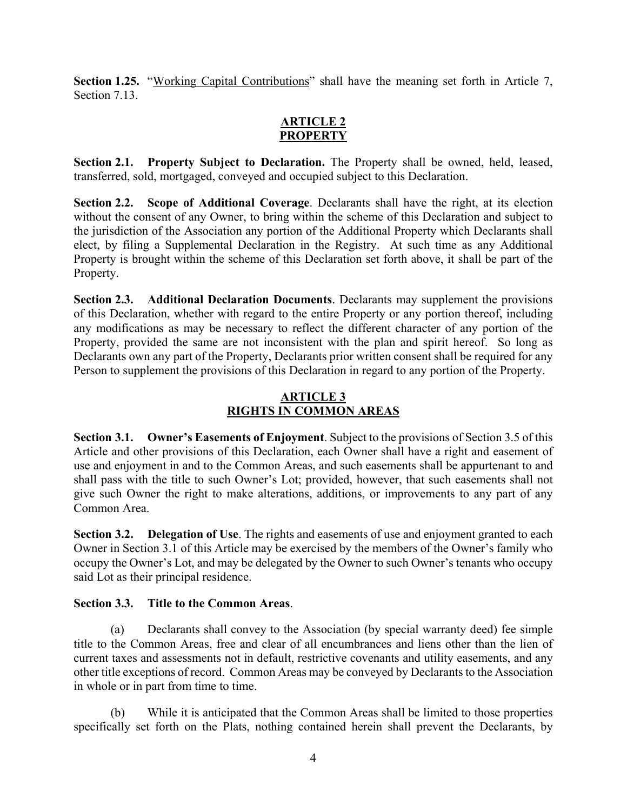**Section 1.25.** "Working Capital Contributions" shall have the meaning set forth in Article 7, Section 7.13.

### **ARTICLE 2 PROPERTY**

**Section 2.1. Property Subject to Declaration.** The Property shall be owned, held, leased, transferred, sold, mortgaged, conveyed and occupied subject to this Declaration.

**Section 2.2. Scope of Additional Coverage**. Declarants shall have the right, at its election without the consent of any Owner, to bring within the scheme of this Declaration and subject to the jurisdiction of the Association any portion of the Additional Property which Declarants shall elect, by filing a Supplemental Declaration in the Registry. At such time as any Additional Property is brought within the scheme of this Declaration set forth above, it shall be part of the Property.

**Section 2.3. Additional Declaration Documents.** Declarants may supplement the provisions of this Declaration, whether with regard to the entire Property or any portion thereof, including any modifications as may be necessary to reflect the different character of any portion of the Property, provided the same are not inconsistent with the plan and spirit hereof. So long as Declarants own any part of the Property, Declarants prior written consent shall be required for any Person to supplement the provisions of this Declaration in regard to any portion of the Property.

# **ARTICLE 3 RIGHTS IN COMMON AREAS**

**Section 3.1. Owner's Easements of Enjoyment**. Subject to the provisions of Section 3.5 of this Article and other provisions of this Declaration, each Owner shall have a right and easement of use and enjoyment in and to the Common Areas, and such easements shall be appurtenant to and shall pass with the title to such Owner's Lot; provided, however, that such easements shall not give such Owner the right to make alterations, additions, or improvements to any part of any Common Area.

**Section 3.2. Delegation of Use**. The rights and easements of use and enjoyment granted to each Owner in Section 3.1 of this Article may be exercised by the members of the Owner's family who occupy the Owner's Lot, and may be delegated by the Owner to such Owner's tenants who occupy said Lot as their principal residence.

# **Section 3.3. Title to the Common Areas**.

(a) Declarants shall convey to the Association (by special warranty deed) fee simple title to the Common Areas, free and clear of all encumbrances and liens other than the lien of current taxes and assessments not in default, restrictive covenants and utility easements, and any other title exceptions of record. Common Areas may be conveyed by Declarants to the Association in whole or in part from time to time.

(b) While it is anticipated that the Common Areas shall be limited to those properties specifically set forth on the Plats, nothing contained herein shall prevent the Declarants, by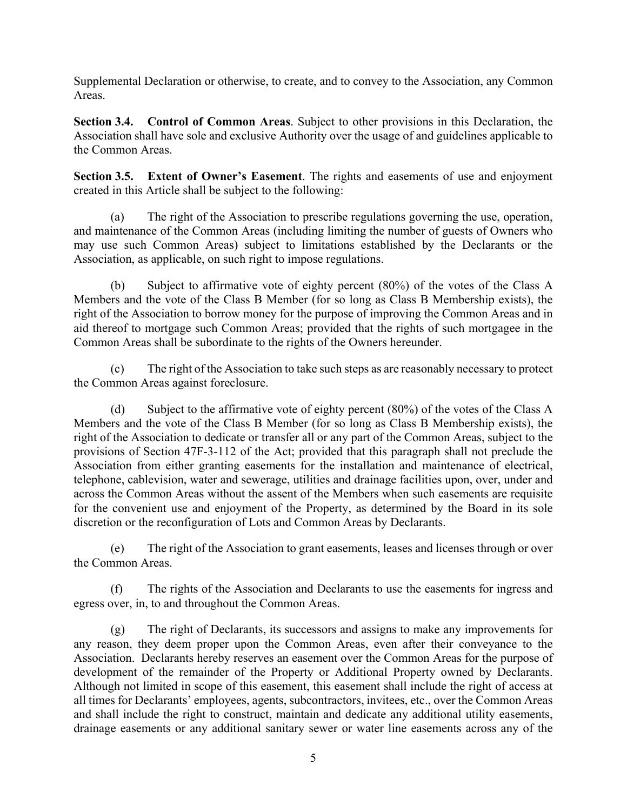Supplemental Declaration or otherwise, to create, and to convey to the Association, any Common Areas.

**Section 3.4. Control of Common Areas**. Subject to other provisions in this Declaration, the Association shall have sole and exclusive Authority over the usage of and guidelines applicable to the Common Areas.

**Section 3.5. Extent of Owner's Easement**. The rights and easements of use and enjoyment created in this Article shall be subject to the following:

(a) The right of the Association to prescribe regulations governing the use, operation, and maintenance of the Common Areas (including limiting the number of guests of Owners who may use such Common Areas) subject to limitations established by the Declarants or the Association, as applicable, on such right to impose regulations.

(b) Subject to affirmative vote of eighty percent (80%) of the votes of the Class A Members and the vote of the Class B Member (for so long as Class B Membership exists), the right of the Association to borrow money for the purpose of improving the Common Areas and in aid thereof to mortgage such Common Areas; provided that the rights of such mortgagee in the Common Areas shall be subordinate to the rights of the Owners hereunder.

(c) The right of the Association to take such steps as are reasonably necessary to protect the Common Areas against foreclosure.

(d) Subject to the affirmative vote of eighty percent (80%) of the votes of the Class A Members and the vote of the Class B Member (for so long as Class B Membership exists), the right of the Association to dedicate or transfer all or any part of the Common Areas, subject to the provisions of Section 47F-3-112 of the Act; provided that this paragraph shall not preclude the Association from either granting easements for the installation and maintenance of electrical, telephone, cablevision, water and sewerage, utilities and drainage facilities upon, over, under and across the Common Areas without the assent of the Members when such easements are requisite for the convenient use and enjoyment of the Property, as determined by the Board in its sole discretion or the reconfiguration of Lots and Common Areas by Declarants.

(e) The right of the Association to grant easements, leases and licenses through or over the Common Areas.

(f) The rights of the Association and Declarants to use the easements for ingress and egress over, in, to and throughout the Common Areas.

(g) The right of Declarants, its successors and assigns to make any improvements for any reason, they deem proper upon the Common Areas, even after their conveyance to the Association. Declarants hereby reserves an easement over the Common Areas for the purpose of development of the remainder of the Property or Additional Property owned by Declarants. Although not limited in scope of this easement, this easement shall include the right of access at all times for Declarants' employees, agents, subcontractors, invitees, etc., over the Common Areas and shall include the right to construct, maintain and dedicate any additional utility easements, drainage easements or any additional sanitary sewer or water line easements across any of the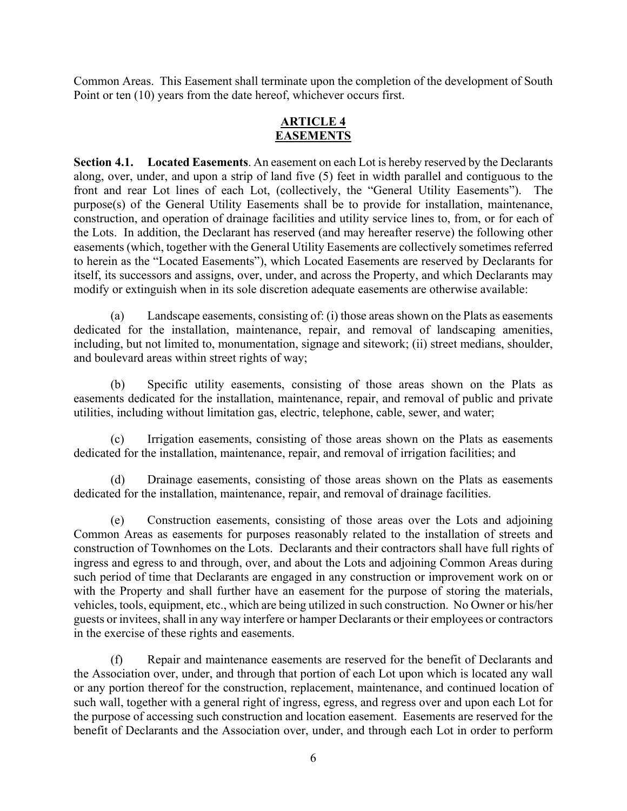Common Areas. This Easement shall terminate upon the completion of the development of South Point or ten (10) years from the date hereof, whichever occurs first.

### **ARTICLE 4 EASEMENTS**

**Section 4.1. Located Easements**. An easement on each Lot is hereby reserved by the Declarants along, over, under, and upon a strip of land five (5) feet in width parallel and contiguous to the front and rear Lot lines of each Lot, (collectively, the "General Utility Easements"). The purpose(s) of the General Utility Easements shall be to provide for installation, maintenance, construction, and operation of drainage facilities and utility service lines to, from, or for each of the Lots. In addition, the Declarant has reserved (and may hereafter reserve) the following other easements (which, together with the General Utility Easements are collectively sometimes referred to herein as the "Located Easements"), which Located Easements are reserved by Declarants for itself, its successors and assigns, over, under, and across the Property, and which Declarants may modify or extinguish when in its sole discretion adequate easements are otherwise available:

(a) Landscape easements, consisting of: (i) those areas shown on the Plats as easements dedicated for the installation, maintenance, repair, and removal of landscaping amenities, including, but not limited to, monumentation, signage and sitework; (ii) street medians, shoulder, and boulevard areas within street rights of way;

(b) Specific utility easements, consisting of those areas shown on the Plats as easements dedicated for the installation, maintenance, repair, and removal of public and private utilities, including without limitation gas, electric, telephone, cable, sewer, and water;

(c) Irrigation easements, consisting of those areas shown on the Plats as easements dedicated for the installation, maintenance, repair, and removal of irrigation facilities; and

(d) Drainage easements, consisting of those areas shown on the Plats as easements dedicated for the installation, maintenance, repair, and removal of drainage facilities.

(e) Construction easements, consisting of those areas over the Lots and adjoining Common Areas as easements for purposes reasonably related to the installation of streets and construction of Townhomes on the Lots. Declarants and their contractors shall have full rights of ingress and egress to and through, over, and about the Lots and adjoining Common Areas during such period of time that Declarants are engaged in any construction or improvement work on or with the Property and shall further have an easement for the purpose of storing the materials, vehicles, tools, equipment, etc., which are being utilized in such construction. No Owner or his/her guests or invitees, shall in any way interfere or hamper Declarants or their employees or contractors in the exercise of these rights and easements.

(f) Repair and maintenance easements are reserved for the benefit of Declarants and the Association over, under, and through that portion of each Lot upon which is located any wall or any portion thereof for the construction, replacement, maintenance, and continued location of such wall, together with a general right of ingress, egress, and regress over and upon each Lot for the purpose of accessing such construction and location easement. Easements are reserved for the benefit of Declarants and the Association over, under, and through each Lot in order to perform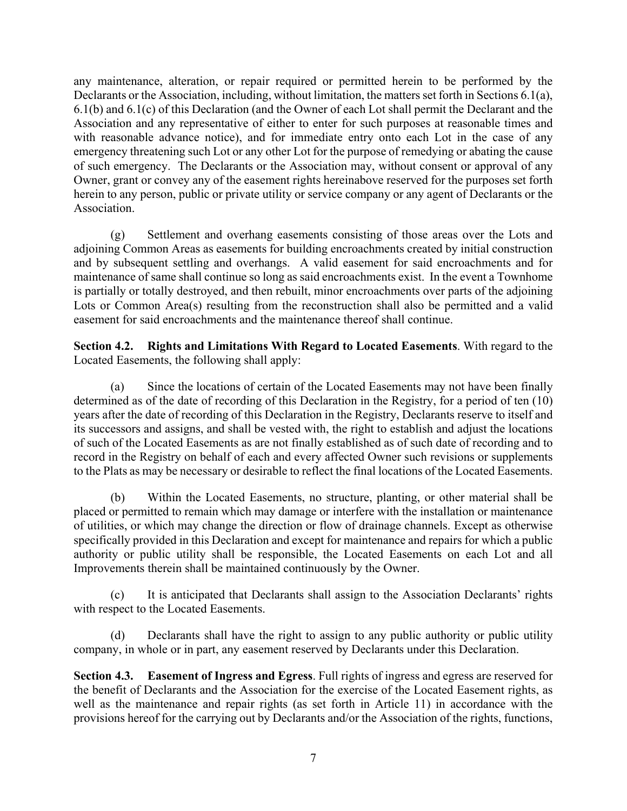any maintenance, alteration, or repair required or permitted herein to be performed by the Declarants or the Association, including, without limitation, the matters set forth in Sections 6.1(a), 6.1(b) and 6.1(c) of this Declaration (and the Owner of each Lot shall permit the Declarant and the Association and any representative of either to enter for such purposes at reasonable times and with reasonable advance notice), and for immediate entry onto each Lot in the case of any emergency threatening such Lot or any other Lot for the purpose of remedying or abating the cause of such emergency. The Declarants or the Association may, without consent or approval of any Owner, grant or convey any of the easement rights hereinabove reserved for the purposes set forth herein to any person, public or private utility or service company or any agent of Declarants or the Association.

(g) Settlement and overhang easements consisting of those areas over the Lots and adjoining Common Areas as easements for building encroachments created by initial construction and by subsequent settling and overhangs. A valid easement for said encroachments and for maintenance of same shall continue so long as said encroachments exist. In the event a Townhome is partially or totally destroyed, and then rebuilt, minor encroachments over parts of the adjoining Lots or Common Area(s) resulting from the reconstruction shall also be permitted and a valid easement for said encroachments and the maintenance thereof shall continue.

**Section 4.2. Rights and Limitations With Regard to Located Easements**. With regard to the Located Easements, the following shall apply:

(a) Since the locations of certain of the Located Easements may not have been finally determined as of the date of recording of this Declaration in the Registry, for a period of ten (10) years after the date of recording of this Declaration in the Registry, Declarants reserve to itself and its successors and assigns, and shall be vested with, the right to establish and adjust the locations of such of the Located Easements as are not finally established as of such date of recording and to record in the Registry on behalf of each and every affected Owner such revisions or supplements to the Plats as may be necessary or desirable to reflect the final locations of the Located Easements.

(b) Within the Located Easements, no structure, planting, or other material shall be placed or permitted to remain which may damage or interfere with the installation or maintenance of utilities, or which may change the direction or flow of drainage channels. Except as otherwise specifically provided in this Declaration and except for maintenance and repairs for which a public authority or public utility shall be responsible, the Located Easements on each Lot and all Improvements therein shall be maintained continuously by the Owner.

(c) It is anticipated that Declarants shall assign to the Association Declarants' rights with respect to the Located Easements.

(d) Declarants shall have the right to assign to any public authority or public utility company, in whole or in part, any easement reserved by Declarants under this Declaration.

**Section 4.3. Easement of Ingress and Egress**. Full rights of ingress and egress are reserved for the benefit of Declarants and the Association for the exercise of the Located Easement rights, as well as the maintenance and repair rights (as set forth in Article 11) in accordance with the provisions hereof for the carrying out by Declarants and/or the Association of the rights, functions,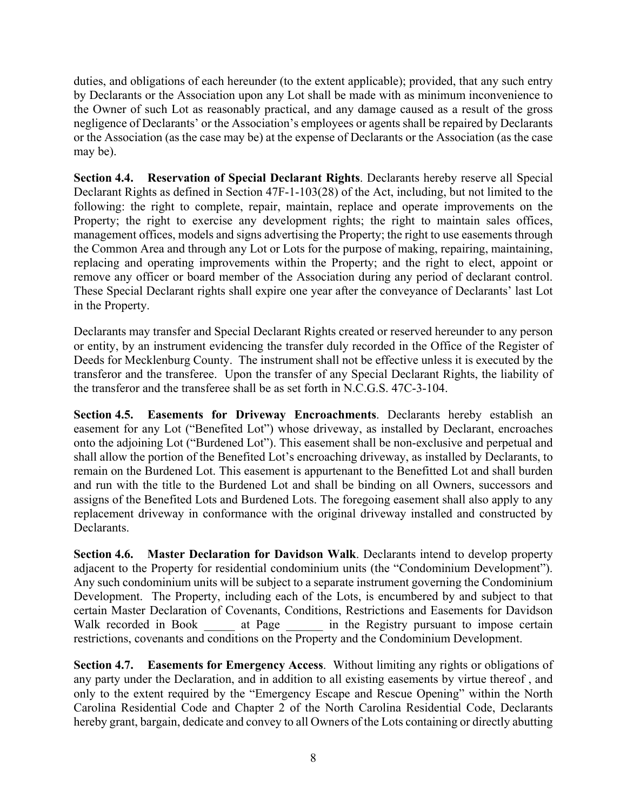duties, and obligations of each hereunder (to the extent applicable); provided, that any such entry by Declarants or the Association upon any Lot shall be made with as minimum inconvenience to the Owner of such Lot as reasonably practical, and any damage caused as a result of the gross negligence of Declarants' or the Association's employees or agents shall be repaired by Declarants or the Association (as the case may be) at the expense of Declarants or the Association (as the case may be).

**Section 4.4. Reservation of Special Declarant Rights**. Declarants hereby reserve all Special Declarant Rights as defined in Section 47F-1-103(28) of the Act, including, but not limited to the following: the right to complete, repair, maintain, replace and operate improvements on the Property; the right to exercise any development rights; the right to maintain sales offices, management offices, models and signs advertising the Property; the right to use easements through the Common Area and through any Lot or Lots for the purpose of making, repairing, maintaining, replacing and operating improvements within the Property; and the right to elect, appoint or remove any officer or board member of the Association during any period of declarant control. These Special Declarant rights shall expire one year after the conveyance of Declarants' last Lot in the Property.

Declarants may transfer and Special Declarant Rights created or reserved hereunder to any person or entity, by an instrument evidencing the transfer duly recorded in the Office of the Register of Deeds for Mecklenburg County. The instrument shall not be effective unless it is executed by the transferor and the transferee. Upon the transfer of any Special Declarant Rights, the liability of the transferor and the transferee shall be as set forth in N.C.G.S. 47C-3-104.

**Section 4.5. Easements for Driveway Encroachments**. Declarants hereby establish an easement for any Lot ("Benefited Lot") whose driveway, as installed by Declarant, encroaches onto the adjoining Lot ("Burdened Lot"). This easement shall be non-exclusive and perpetual and shall allow the portion of the Benefited Lot's encroaching driveway, as installed by Declarants, to remain on the Burdened Lot. This easement is appurtenant to the Benefitted Lot and shall burden and run with the title to the Burdened Lot and shall be binding on all Owners, successors and assigns of the Benefited Lots and Burdened Lots. The foregoing easement shall also apply to any replacement driveway in conformance with the original driveway installed and constructed by Declarants.

**Section 4.6. Master Declaration for Davidson Walk**. Declarants intend to develop property adjacent to the Property for residential condominium units (the "Condominium Development"). Any such condominium units will be subject to a separate instrument governing the Condominium Development. The Property, including each of the Lots, is encumbered by and subject to that certain Master Declaration of Covenants, Conditions, Restrictions and Easements for Davidson Walk recorded in Book at Page in the Registry pursuant to impose certain restrictions, covenants and conditions on the Property and the Condominium Development.

**Section 4.7. Easements for Emergency Access**. Without limiting any rights or obligations of any party under the Declaration, and in addition to all existing easements by virtue thereof , and only to the extent required by the "Emergency Escape and Rescue Opening" within the North Carolina Residential Code and Chapter 2 of the North Carolina Residential Code, Declarants hereby grant, bargain, dedicate and convey to all Owners of the Lots containing or directly abutting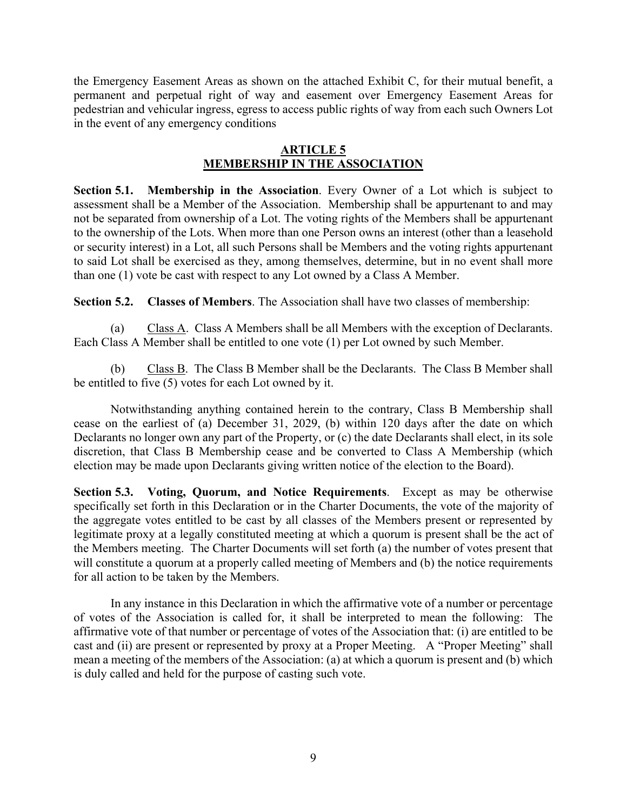the Emergency Easement Areas as shown on the attached Exhibit C, for their mutual benefit, a permanent and perpetual right of way and easement over Emergency Easement Areas for pedestrian and vehicular ingress, egress to access public rights of way from each such Owners Lot in the event of any emergency conditions

### **ARTICLE 5 MEMBERSHIP IN THE ASSOCIATION**

**Section 5.1. Membership in the Association**. Every Owner of a Lot which is subject to assessment shall be a Member of the Association. Membership shall be appurtenant to and may not be separated from ownership of a Lot. The voting rights of the Members shall be appurtenant to the ownership of the Lots. When more than one Person owns an interest (other than a leasehold or security interest) in a Lot, all such Persons shall be Members and the voting rights appurtenant to said Lot shall be exercised as they, among themselves, determine, but in no event shall more than one (1) vote be cast with respect to any Lot owned by a Class A Member.

**Section 5.2. Classes of Members**. The Association shall have two classes of membership:

(a) Class A. Class A Members shall be all Members with the exception of Declarants. Each Class A Member shall be entitled to one vote (1) per Lot owned by such Member.

(b) Class B. The Class B Member shall be the Declarants. The Class B Member shall be entitled to five (5) votes for each Lot owned by it.

Notwithstanding anything contained herein to the contrary, Class B Membership shall cease on the earliest of (a) December 31, 2029, (b) within 120 days after the date on which Declarants no longer own any part of the Property, or (c) the date Declarants shall elect, in its sole discretion, that Class B Membership cease and be converted to Class A Membership (which election may be made upon Declarants giving written notice of the election to the Board).

**Section 5.3. Voting, Quorum, and Notice Requirements**. Except as may be otherwise specifically set forth in this Declaration or in the Charter Documents, the vote of the majority of the aggregate votes entitled to be cast by all classes of the Members present or represented by legitimate proxy at a legally constituted meeting at which a quorum is present shall be the act of the Members meeting. The Charter Documents will set forth (a) the number of votes present that will constitute a quorum at a properly called meeting of Members and (b) the notice requirements for all action to be taken by the Members.

In any instance in this Declaration in which the affirmative vote of a number or percentage of votes of the Association is called for, it shall be interpreted to mean the following: The affirmative vote of that number or percentage of votes of the Association that: (i) are entitled to be cast and (ii) are present or represented by proxy at a Proper Meeting. A "Proper Meeting" shall mean a meeting of the members of the Association: (a) at which a quorum is present and (b) which is duly called and held for the purpose of casting such vote.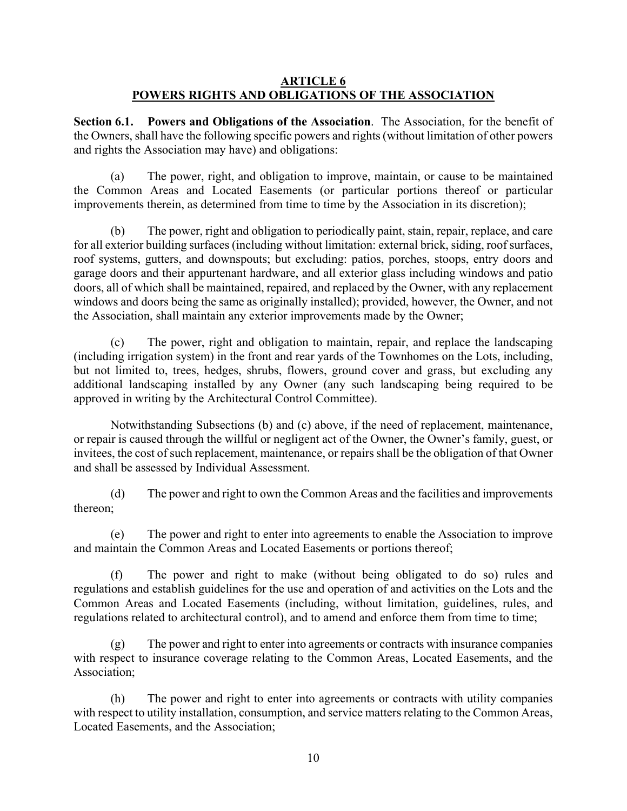### **ARTICLE 6 POWERS RIGHTS AND OBLIGATIONS OF THE ASSOCIATION**

**Section 6.1. Powers and Obligations of the Association**.The Association, for the benefit of the Owners, shall have the following specific powers and rights (without limitation of other powers and rights the Association may have) and obligations:

(a) The power, right, and obligation to improve, maintain, or cause to be maintained the Common Areas and Located Easements (or particular portions thereof or particular improvements therein, as determined from time to time by the Association in its discretion);

(b) The power, right and obligation to periodically paint, stain, repair, replace, and care for all exterior building surfaces (including without limitation: external brick, siding, roof surfaces, roof systems, gutters, and downspouts; but excluding: patios, porches, stoops, entry doors and garage doors and their appurtenant hardware, and all exterior glass including windows and patio doors, all of which shall be maintained, repaired, and replaced by the Owner, with any replacement windows and doors being the same as originally installed); provided, however, the Owner, and not the Association, shall maintain any exterior improvements made by the Owner;

The power, right and obligation to maintain, repair, and replace the landscaping (including irrigation system) in the front and rear yards of the Townhomes on the Lots, including, but not limited to, trees, hedges, shrubs, flowers, ground cover and grass, but excluding any additional landscaping installed by any Owner (any such landscaping being required to be approved in writing by the Architectural Control Committee).

Notwithstanding Subsections (b) and (c) above, if the need of replacement, maintenance, or repair is caused through the willful or negligent act of the Owner, the Owner's family, guest, or invitees, the cost of such replacement, maintenance, or repairs shall be the obligation of that Owner and shall be assessed by Individual Assessment.

(d) The power and right to own the Common Areas and the facilities and improvements thereon;

(e) The power and right to enter into agreements to enable the Association to improve and maintain the Common Areas and Located Easements or portions thereof;

(f) The power and right to make (without being obligated to do so) rules and regulations and establish guidelines for the use and operation of and activities on the Lots and the Common Areas and Located Easements (including, without limitation, guidelines, rules, and regulations related to architectural control), and to amend and enforce them from time to time;

(g) The power and right to enter into agreements or contracts with insurance companies with respect to insurance coverage relating to the Common Areas, Located Easements, and the Association;

(h) The power and right to enter into agreements or contracts with utility companies with respect to utility installation, consumption, and service matters relating to the Common Areas, Located Easements, and the Association;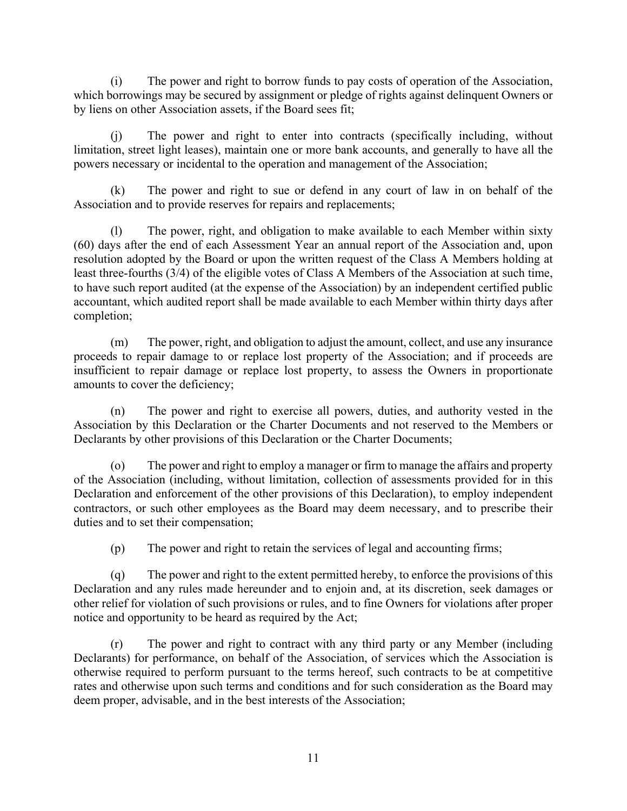(i) The power and right to borrow funds to pay costs of operation of the Association, which borrowings may be secured by assignment or pledge of rights against delinquent Owners or by liens on other Association assets, if the Board sees fit;

(j) The power and right to enter into contracts (specifically including, without limitation, street light leases), maintain one or more bank accounts, and generally to have all the powers necessary or incidental to the operation and management of the Association;

The power and right to sue or defend in any court of law in on behalf of the Association and to provide reserves for repairs and replacements;

(l) The power, right, and obligation to make available to each Member within sixty (60) days after the end of each Assessment Year an annual report of the Association and, upon resolution adopted by the Board or upon the written request of the Class A Members holding at least three-fourths (3/4) of the eligible votes of Class A Members of the Association at such time, to have such report audited (at the expense of the Association) by an independent certified public accountant, which audited report shall be made available to each Member within thirty days after completion;

(m) The power, right, and obligation to adjust the amount, collect, and use any insurance proceeds to repair damage to or replace lost property of the Association; and if proceeds are insufficient to repair damage or replace lost property, to assess the Owners in proportionate amounts to cover the deficiency;

(n) The power and right to exercise all powers, duties, and authority vested in the Association by this Declaration or the Charter Documents and not reserved to the Members or Declarants by other provisions of this Declaration or the Charter Documents;

(o) The power and right to employ a manager or firm to manage the affairs and property of the Association (including, without limitation, collection of assessments provided for in this Declaration and enforcement of the other provisions of this Declaration), to employ independent contractors, or such other employees as the Board may deem necessary, and to prescribe their duties and to set their compensation;

(p) The power and right to retain the services of legal and accounting firms;

(q) The power and right to the extent permitted hereby, to enforce the provisions of this Declaration and any rules made hereunder and to enjoin and, at its discretion, seek damages or other relief for violation of such provisions or rules, and to fine Owners for violations after proper notice and opportunity to be heard as required by the Act;

(r) The power and right to contract with any third party or any Member (including Declarants) for performance, on behalf of the Association, of services which the Association is otherwise required to perform pursuant to the terms hereof, such contracts to be at competitive rates and otherwise upon such terms and conditions and for such consideration as the Board may deem proper, advisable, and in the best interests of the Association;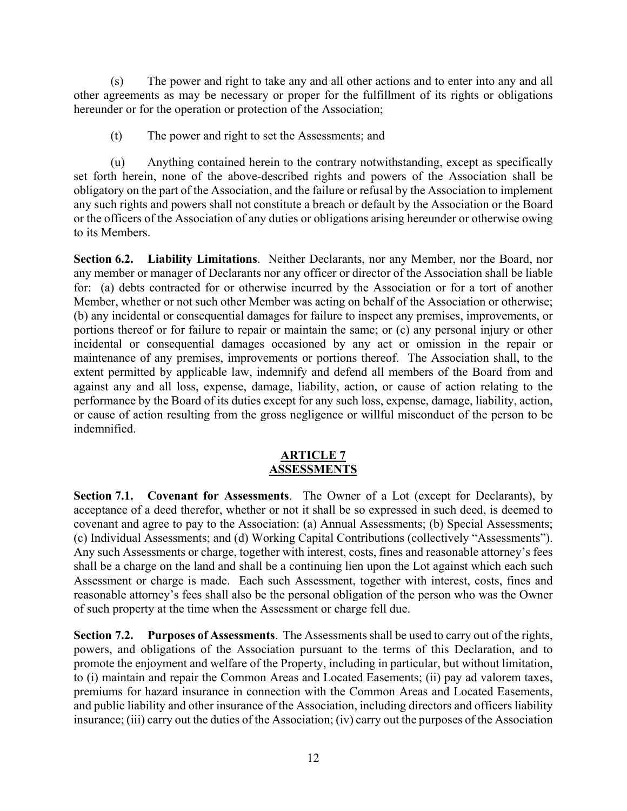(s) The power and right to take any and all other actions and to enter into any and all other agreements as may be necessary or proper for the fulfillment of its rights or obligations hereunder or for the operation or protection of the Association;

(t) The power and right to set the Assessments; and

(u) Anything contained herein to the contrary notwithstanding, except as specifically set forth herein, none of the above-described rights and powers of the Association shall be obligatory on the part of the Association, and the failure or refusal by the Association to implement any such rights and powers shall not constitute a breach or default by the Association or the Board or the officers of the Association of any duties or obligations arising hereunder or otherwise owing to its Members.

**Section 6.2. Liability Limitations**. Neither Declarants, nor any Member, nor the Board, nor any member or manager of Declarants nor any officer or director of the Association shall be liable for: (a) debts contracted for or otherwise incurred by the Association or for a tort of another Member, whether or not such other Member was acting on behalf of the Association or otherwise; (b) any incidental or consequential damages for failure to inspect any premises, improvements, or portions thereof or for failure to repair or maintain the same; or (c) any personal injury or other incidental or consequential damages occasioned by any act or omission in the repair or maintenance of any premises, improvements or portions thereof. The Association shall, to the extent permitted by applicable law, indemnify and defend all members of the Board from and against any and all loss, expense, damage, liability, action, or cause of action relating to the performance by the Board of its duties except for any such loss, expense, damage, liability, action, or cause of action resulting from the gross negligence or willful misconduct of the person to be indemnified.

#### **ARTICLE 7 ASSESSMENTS**

**Section 7.1. Covenant for Assessments**.The Owner of a Lot (except for Declarants), by acceptance of a deed therefor, whether or not it shall be so expressed in such deed, is deemed to covenant and agree to pay to the Association: (a) Annual Assessments; (b) Special Assessments; (c) Individual Assessments; and (d) Working Capital Contributions (collectively "Assessments"). Any such Assessments or charge, together with interest, costs, fines and reasonable attorney's fees shall be a charge on the land and shall be a continuing lien upon the Lot against which each such Assessment or charge is made. Each such Assessment, together with interest, costs, fines and reasonable attorney's fees shall also be the personal obligation of the person who was the Owner of such property at the time when the Assessment or charge fell due.

**Section 7.2. Purposes of Assessments**. The Assessments shall be used to carry out of the rights, powers, and obligations of the Association pursuant to the terms of this Declaration, and to promote the enjoyment and welfare of the Property, including in particular, but without limitation, to (i) maintain and repair the Common Areas and Located Easements; (ii) pay ad valorem taxes, premiums for hazard insurance in connection with the Common Areas and Located Easements, and public liability and other insurance of the Association, including directors and officers liability insurance; (iii) carry out the duties of the Association; (iv) carry out the purposes of the Association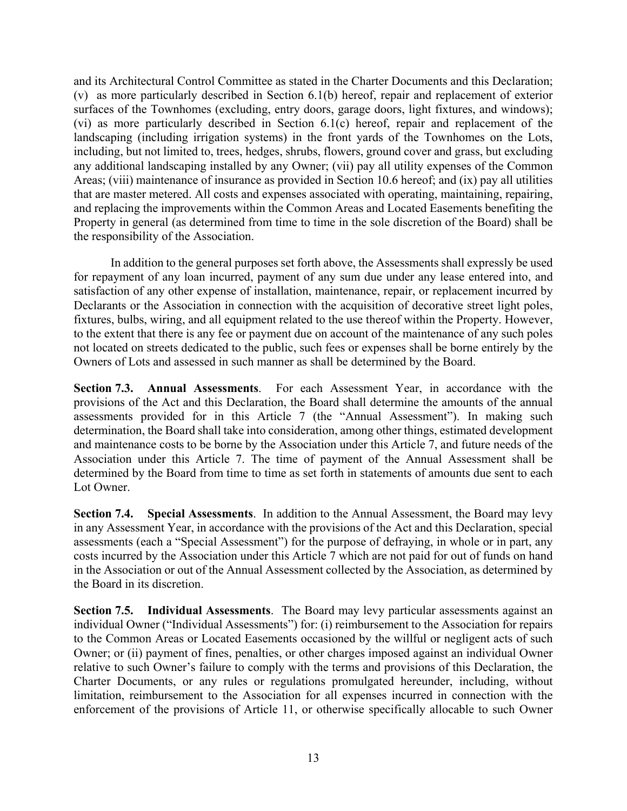and its Architectural Control Committee as stated in the Charter Documents and this Declaration; (v) as more particularly described in Section 6.1(b) hereof, repair and replacement of exterior surfaces of the Townhomes (excluding, entry doors, garage doors, light fixtures, and windows); (vi) as more particularly described in Section 6.1(c) hereof, repair and replacement of the landscaping (including irrigation systems) in the front yards of the Townhomes on the Lots, including, but not limited to, trees, hedges, shrubs, flowers, ground cover and grass, but excluding any additional landscaping installed by any Owner; (vii) pay all utility expenses of the Common Areas; (viii) maintenance of insurance as provided in Section 10.6 hereof; and (ix) pay all utilities that are master metered. All costs and expenses associated with operating, maintaining, repairing, and replacing the improvements within the Common Areas and Located Easements benefiting the Property in general (as determined from time to time in the sole discretion of the Board) shall be the responsibility of the Association.

In addition to the general purposes set forth above, the Assessments shall expressly be used for repayment of any loan incurred, payment of any sum due under any lease entered into, and satisfaction of any other expense of installation, maintenance, repair, or replacement incurred by Declarants or the Association in connection with the acquisition of decorative street light poles, fixtures, bulbs, wiring, and all equipment related to the use thereof within the Property. However, to the extent that there is any fee or payment due on account of the maintenance of any such poles not located on streets dedicated to the public, such fees or expenses shall be borne entirely by the Owners of Lots and assessed in such manner as shall be determined by the Board.

**Section 7.3. Annual Assessments**. For each Assessment Year, in accordance with the provisions of the Act and this Declaration, the Board shall determine the amounts of the annual assessments provided for in this Article 7 (the "Annual Assessment"). In making such determination, the Board shall take into consideration, among other things, estimated development and maintenance costs to be borne by the Association under this Article 7, and future needs of the Association under this Article 7. The time of payment of the Annual Assessment shall be determined by the Board from time to time as set forth in statements of amounts due sent to each Lot Owner.

**Section 7.4. Special Assessments**. In addition to the Annual Assessment, the Board may levy in any Assessment Year, in accordance with the provisions of the Act and this Declaration, special assessments (each a "Special Assessment") for the purpose of defraying, in whole or in part, any costs incurred by the Association under this Article 7 which are not paid for out of funds on hand in the Association or out of the Annual Assessment collected by the Association, as determined by the Board in its discretion.

**Section 7.5. Individual Assessments**. The Board may levy particular assessments against an individual Owner ("Individual Assessments") for: (i) reimbursement to the Association for repairs to the Common Areas or Located Easements occasioned by the willful or negligent acts of such Owner; or (ii) payment of fines, penalties, or other charges imposed against an individual Owner relative to such Owner's failure to comply with the terms and provisions of this Declaration, the Charter Documents, or any rules or regulations promulgated hereunder, including, without limitation, reimbursement to the Association for all expenses incurred in connection with the enforcement of the provisions of Article 11, or otherwise specifically allocable to such Owner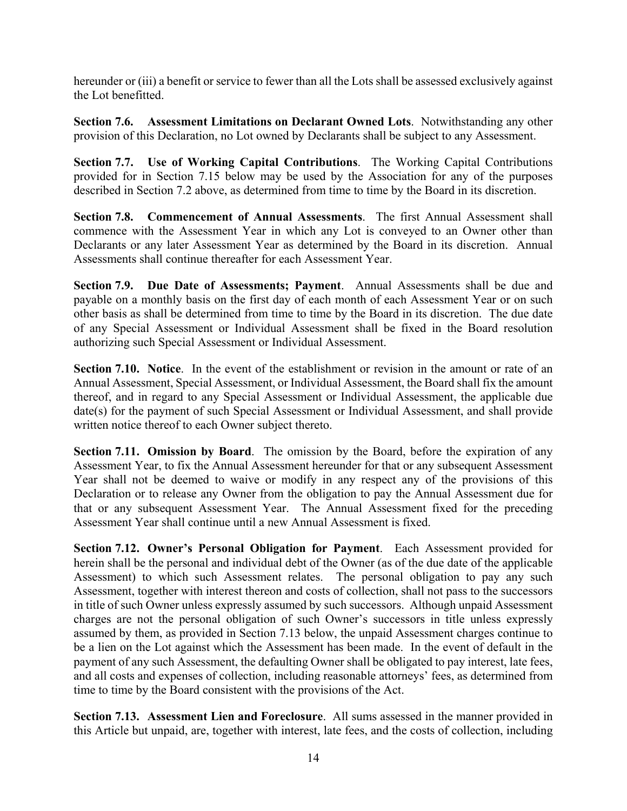hereunder or (iii) a benefit or service to fewer than all the Lots shall be assessed exclusively against the Lot benefitted.

**Section 7.6. Assessment Limitations on Declarant Owned Lots**. Notwithstanding any other provision of this Declaration, no Lot owned by Declarants shall be subject to any Assessment.

**Section 7.7. Use of Working Capital Contributions**. The Working Capital Contributions provided for in Section 7.15 below may be used by the Association for any of the purposes described in Section 7.2 above, as determined from time to time by the Board in its discretion.

**Section 7.8. Commencement of Annual Assessments**. The first Annual Assessment shall commence with the Assessment Year in which any Lot is conveyed to an Owner other than Declarants or any later Assessment Year as determined by the Board in its discretion. Annual Assessments shall continue thereafter for each Assessment Year.

**Section 7.9. Due Date of Assessments; Payment**. Annual Assessments shall be due and payable on a monthly basis on the first day of each month of each Assessment Year or on such other basis as shall be determined from time to time by the Board in its discretion. The due date of any Special Assessment or Individual Assessment shall be fixed in the Board resolution authorizing such Special Assessment or Individual Assessment.

**Section 7.10. Notice**. In the event of the establishment or revision in the amount or rate of an Annual Assessment, Special Assessment, or Individual Assessment, the Board shall fix the amount thereof, and in regard to any Special Assessment or Individual Assessment, the applicable due date(s) for the payment of such Special Assessment or Individual Assessment, and shall provide written notice thereof to each Owner subject thereto.

**Section 7.11. Omission by Board**. The omission by the Board, before the expiration of any Assessment Year, to fix the Annual Assessment hereunder for that or any subsequent Assessment Year shall not be deemed to waive or modify in any respect any of the provisions of this Declaration or to release any Owner from the obligation to pay the Annual Assessment due for that or any subsequent Assessment Year. The Annual Assessment fixed for the preceding Assessment Year shall continue until a new Annual Assessment is fixed.

**Section 7.12. Owner's Personal Obligation for Payment**. Each Assessment provided for herein shall be the personal and individual debt of the Owner (as of the due date of the applicable Assessment) to which such Assessment relates. The personal obligation to pay any such Assessment, together with interest thereon and costs of collection, shall not pass to the successors in title of such Owner unless expressly assumed by such successors. Although unpaid Assessment charges are not the personal obligation of such Owner's successors in title unless expressly assumed by them, as provided in Section 7.13 below, the unpaid Assessment charges continue to be a lien on the Lot against which the Assessment has been made. In the event of default in the payment of any such Assessment, the defaulting Owner shall be obligated to pay interest, late fees, and all costs and expenses of collection, including reasonable attorneys' fees, as determined from time to time by the Board consistent with the provisions of the Act.

**Section 7.13. Assessment Lien and Foreclosure**. All sums assessed in the manner provided in this Article but unpaid, are, together with interest, late fees, and the costs of collection, including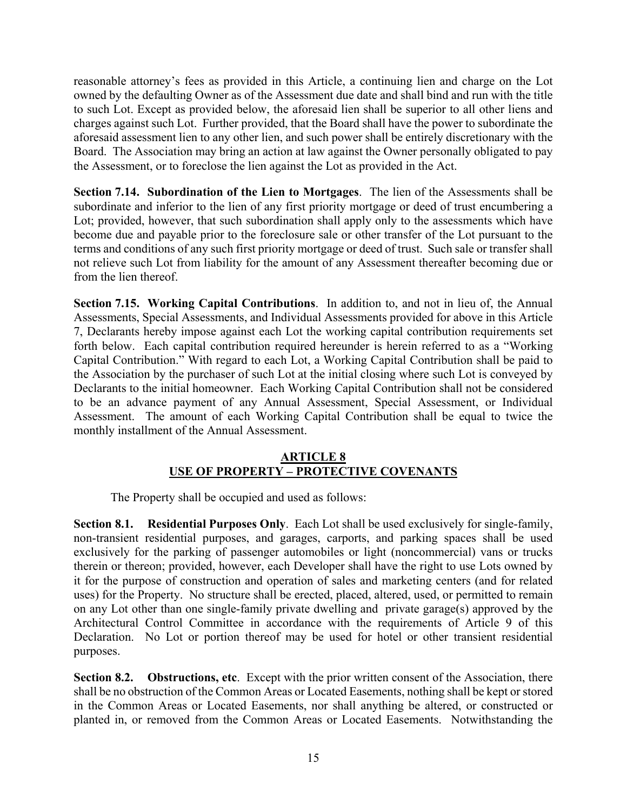reasonable attorney's fees as provided in this Article, a continuing lien and charge on the Lot owned by the defaulting Owner as of the Assessment due date and shall bind and run with the title to such Lot. Except as provided below, the aforesaid lien shall be superior to all other liens and charges against such Lot. Further provided, that the Board shall have the power to subordinate the aforesaid assessment lien to any other lien, and such power shall be entirely discretionary with the Board. The Association may bring an action at law against the Owner personally obligated to pay the Assessment, or to foreclose the lien against the Lot as provided in the Act.

**Section 7.14. Subordination of the Lien to Mortgages**. The lien of the Assessments shall be subordinate and inferior to the lien of any first priority mortgage or deed of trust encumbering a Lot; provided, however, that such subordination shall apply only to the assessments which have become due and payable prior to the foreclosure sale or other transfer of the Lot pursuant to the terms and conditions of any such first priority mortgage or deed of trust. Such sale or transfer shall not relieve such Lot from liability for the amount of any Assessment thereafter becoming due or from the lien thereof.

**Section 7.15. Working Capital Contributions**. In addition to, and not in lieu of, the Annual Assessments, Special Assessments, and Individual Assessments provided for above in this Article 7, Declarants hereby impose against each Lot the working capital contribution requirements set forth below. Each capital contribution required hereunder is herein referred to as a "Working Capital Contribution." With regard to each Lot, a Working Capital Contribution shall be paid to the Association by the purchaser of such Lot at the initial closing where such Lot is conveyed by Declarants to the initial homeowner. Each Working Capital Contribution shall not be considered to be an advance payment of any Annual Assessment, Special Assessment, or Individual Assessment. The amount of each Working Capital Contribution shall be equal to twice the monthly installment of the Annual Assessment.

### **ARTICLE 8 USE OF PROPERTY – PROTECTIVE COVENANTS**

The Property shall be occupied and used as follows:

**Section 8.1. Residential Purposes Only**. Each Lot shall be used exclusively for single-family, non-transient residential purposes, and garages, carports, and parking spaces shall be used exclusively for the parking of passenger automobiles or light (noncommercial) vans or trucks therein or thereon; provided, however, each Developer shall have the right to use Lots owned by it for the purpose of construction and operation of sales and marketing centers (and for related uses) for the Property. No structure shall be erected, placed, altered, used, or permitted to remain on any Lot other than one single-family private dwelling and private garage(s) approved by the Architectural Control Committee in accordance with the requirements of Article 9 of this Declaration. No Lot or portion thereof may be used for hotel or other transient residential purposes.

**Section 8.2. Obstructions, etc**. Except with the prior written consent of the Association, there shall be no obstruction of the Common Areas or Located Easements, nothing shall be kept or stored in the Common Areas or Located Easements, nor shall anything be altered, or constructed or planted in, or removed from the Common Areas or Located Easements. Notwithstanding the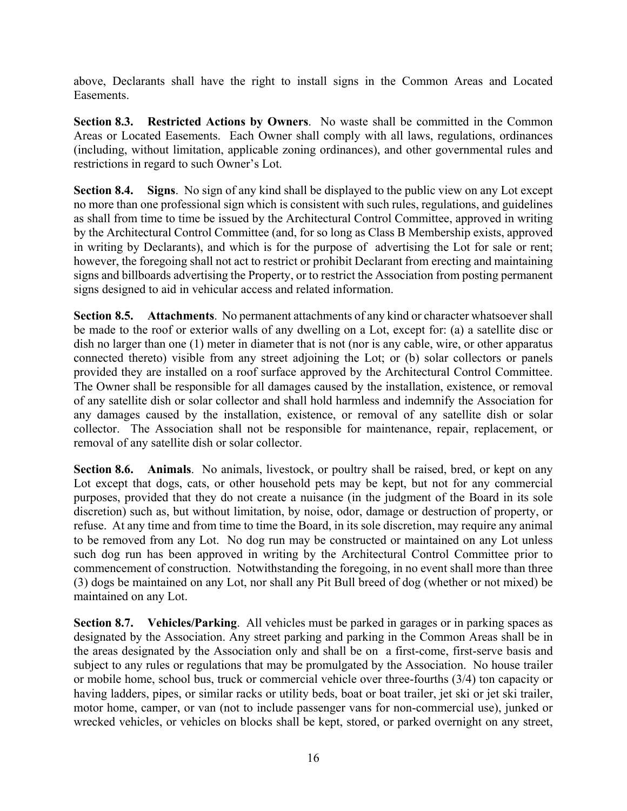above, Declarants shall have the right to install signs in the Common Areas and Located Easements.

**Section 8.3. Restricted Actions by Owners.** No waste shall be committed in the Common Areas or Located Easements. Each Owner shall comply with all laws, regulations, ordinances (including, without limitation, applicable zoning ordinances), and other governmental rules and restrictions in regard to such Owner's Lot.

**Section 8.4. Signs**. No sign of any kind shall be displayed to the public view on any Lot except no more than one professional sign which is consistent with such rules, regulations, and guidelines as shall from time to time be issued by the Architectural Control Committee, approved in writing by the Architectural Control Committee (and, for so long as Class B Membership exists, approved in writing by Declarants), and which is for the purpose of advertising the Lot for sale or rent; however, the foregoing shall not act to restrict or prohibit Declarant from erecting and maintaining signs and billboards advertising the Property, or to restrict the Association from posting permanent signs designed to aid in vehicular access and related information.

**Section 8.5. Attachments**. No permanent attachments of any kind or character whatsoever shall be made to the roof or exterior walls of any dwelling on a Lot, except for: (a) a satellite disc or dish no larger than one (1) meter in diameter that is not (nor is any cable, wire, or other apparatus connected thereto) visible from any street adjoining the Lot; or (b) solar collectors or panels provided they are installed on a roof surface approved by the Architectural Control Committee. The Owner shall be responsible for all damages caused by the installation, existence, or removal of any satellite dish or solar collector and shall hold harmless and indemnify the Association for any damages caused by the installation, existence, or removal of any satellite dish or solar collector. The Association shall not be responsible for maintenance, repair, replacement, or removal of any satellite dish or solar collector.

**Section 8.6. Animals**. No animals, livestock, or poultry shall be raised, bred, or kept on any Lot except that dogs, cats, or other household pets may be kept, but not for any commercial purposes, provided that they do not create a nuisance (in the judgment of the Board in its sole discretion) such as, but without limitation, by noise, odor, damage or destruction of property, or refuse. At any time and from time to time the Board, in its sole discretion, may require any animal to be removed from any Lot. No dog run may be constructed or maintained on any Lot unless such dog run has been approved in writing by the Architectural Control Committee prior to commencement of construction. Notwithstanding the foregoing, in no event shall more than three (3) dogs be maintained on any Lot, nor shall any Pit Bull breed of dog (whether or not mixed) be maintained on any Lot.

**Section 8.7. Vehicles/Parking**. All vehicles must be parked in garages or in parking spaces as designated by the Association. Any street parking and parking in the Common Areas shall be in the areas designated by the Association only and shall be on a first-come, first-serve basis and subject to any rules or regulations that may be promulgated by the Association. No house trailer or mobile home, school bus, truck or commercial vehicle over three-fourths (3/4) ton capacity or having ladders, pipes, or similar racks or utility beds, boat or boat trailer, jet ski or jet ski trailer, motor home, camper, or van (not to include passenger vans for non-commercial use), junked or wrecked vehicles, or vehicles on blocks shall be kept, stored, or parked overnight on any street,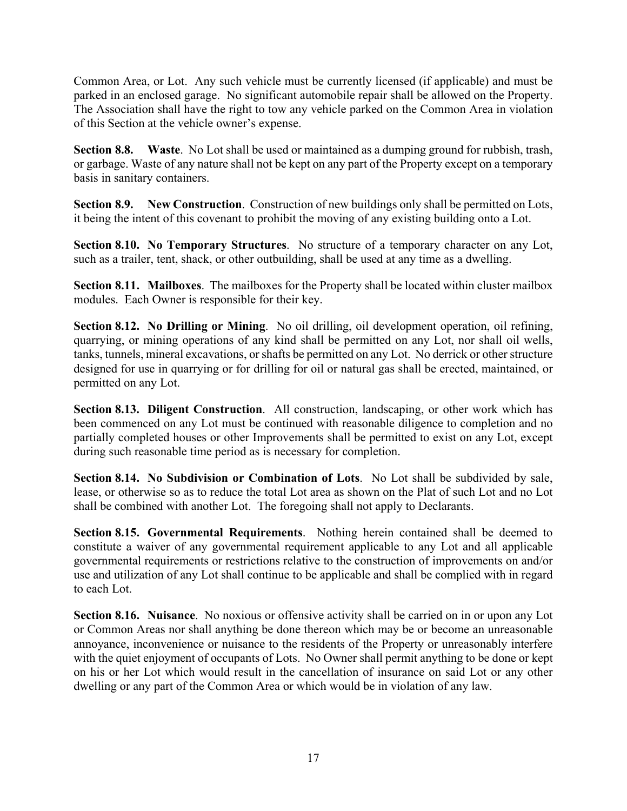Common Area, or Lot. Any such vehicle must be currently licensed (if applicable) and must be parked in an enclosed garage. No significant automobile repair shall be allowed on the Property. The Association shall have the right to tow any vehicle parked on the Common Area in violation of this Section at the vehicle owner's expense.

**Section 8.8. Waste**. No Lot shall be used or maintained as a dumping ground for rubbish, trash, or garbage. Waste of any nature shall not be kept on any part of the Property except on a temporary basis in sanitary containers.

**Section 8.9. New Construction**. Construction of new buildings only shall be permitted on Lots, it being the intent of this covenant to prohibit the moving of any existing building onto a Lot.

**Section 8.10. No Temporary Structures**. No structure of a temporary character on any Lot, such as a trailer, tent, shack, or other outbuilding, shall be used at any time as a dwelling.

**Section 8.11. Mailboxes**. The mailboxes for the Property shall be located within cluster mailbox modules. Each Owner is responsible for their key.

**Section 8.12. No Drilling or Mining**. No oil drilling, oil development operation, oil refining, quarrying, or mining operations of any kind shall be permitted on any Lot, nor shall oil wells, tanks, tunnels, mineral excavations, or shafts be permitted on any Lot. No derrick or other structure designed for use in quarrying or for drilling for oil or natural gas shall be erected, maintained, or permitted on any Lot.

**Section 8.13. Diligent Construction**. All construction, landscaping, or other work which has been commenced on any Lot must be continued with reasonable diligence to completion and no partially completed houses or other Improvements shall be permitted to exist on any Lot, except during such reasonable time period as is necessary for completion.

**Section 8.14. No Subdivision or Combination of Lots**. No Lot shall be subdivided by sale, lease, or otherwise so as to reduce the total Lot area as shown on the Plat of such Lot and no Lot shall be combined with another Lot. The foregoing shall not apply to Declarants.

**Section 8.15. Governmental Requirements**. Nothing herein contained shall be deemed to constitute a waiver of any governmental requirement applicable to any Lot and all applicable governmental requirements or restrictions relative to the construction of improvements on and/or use and utilization of any Lot shall continue to be applicable and shall be complied with in regard to each Lot.

**Section 8.16. Nuisance**. No noxious or offensive activity shall be carried on in or upon any Lot or Common Areas nor shall anything be done thereon which may be or become an unreasonable annoyance, inconvenience or nuisance to the residents of the Property or unreasonably interfere with the quiet enjoyment of occupants of Lots. No Owner shall permit anything to be done or kept on his or her Lot which would result in the cancellation of insurance on said Lot or any other dwelling or any part of the Common Area or which would be in violation of any law.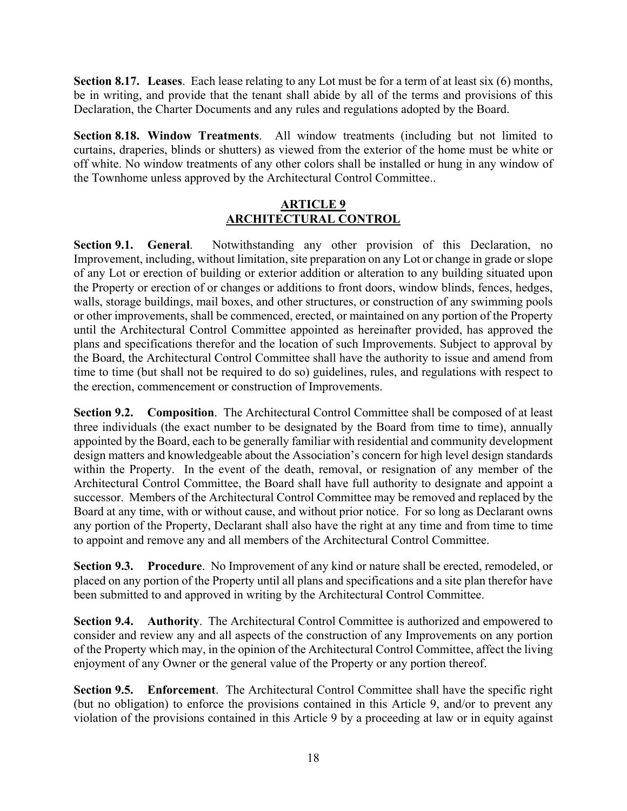**Section 8.17. Leases**. Each lease relating to any Lot must be for a term of at least six (6) months, be in writing, and provide that the tenant shall abide by all of the terms and provisions of this Declaration, the Charter Documents and any rules and regulations adopted by the Board.

**Section 8.18. Window Treatments**. All window treatments (including but not limited to curtains, draperies, blinds or shutters) as viewed from the exterior of the home must be white or off white. No window treatments of any other colors shall be installed or hung in any window of the Townhome unless approved by the Architectural Control Committee..

### **ARTICLE 9 ARCHITECTURAL CONTROL**

**Section 9.1. General**. Notwithstanding any other provision of this Declaration, no Improvement, including, without limitation, site preparation on any Lot or change in grade or slope of any Lot or erection of building or exterior addition or alteration to any building situated upon the Property or erection of or changes or additions to front doors, window blinds, fences, hedges, walls, storage buildings, mail boxes, and other structures, or construction of any swimming pools or other improvements, shall be commenced, erected, or maintained on any portion of the Property until the Architectural Control Committee appointed as hereinafter provided, has approved the plans and specifications therefor and the location of such Improvements. Subject to approval by the Board, the Architectural Control Committee shall have the authority to issue and amend from time to time (but shall not be required to do so) guidelines, rules, and regulations with respect to the erection, commencement or construction of Improvements.

**Section 9.2. Composition.** The Architectural Control Committee shall be composed of at least three individuals (the exact number to be designated by the Board from time to time), annually appointed by the Board, each to be generally familiar with residential and community development design matters and knowledgeable about the Association's concern for high level design standards within the Property. In the event of the death, removal, or resignation of any member of the Architectural Control Committee, the Board shall have full authority to designate and appoint a successor. Members of the Architectural Control Committee may be removed and replaced by the Board at any time, with or without cause, and without prior notice. For so long as Declarant owns any portion of the Property, Declarant shall also have the right at any time and from time to time to appoint and remove any and all members of the Architectural Control Committee.

**Section 9.3. Procedure.** No Improvement of any kind or nature shall be erected, remodeled, or placed on any portion of the Property until all plans and specifications and a site plan therefor have been submitted to and approved in writing by the Architectural Control Committee.

**Section 9.4. Authority**. The Architectural Control Committee is authorized and empowered to consider and review any and all aspects of the construction of any Improvements on any portion of the Property which may, in the opinion of the Architectural Control Committee, affect the living enjoyment of any Owner or the general value of the Property or any portion thereof.

**Section 9.5. Enforcement**. The Architectural Control Committee shall have the specific right (but no obligation) to enforce the provisions contained in this Article 9, and/or to prevent any violation of the provisions contained in this Article 9 by a proceeding at law or in equity against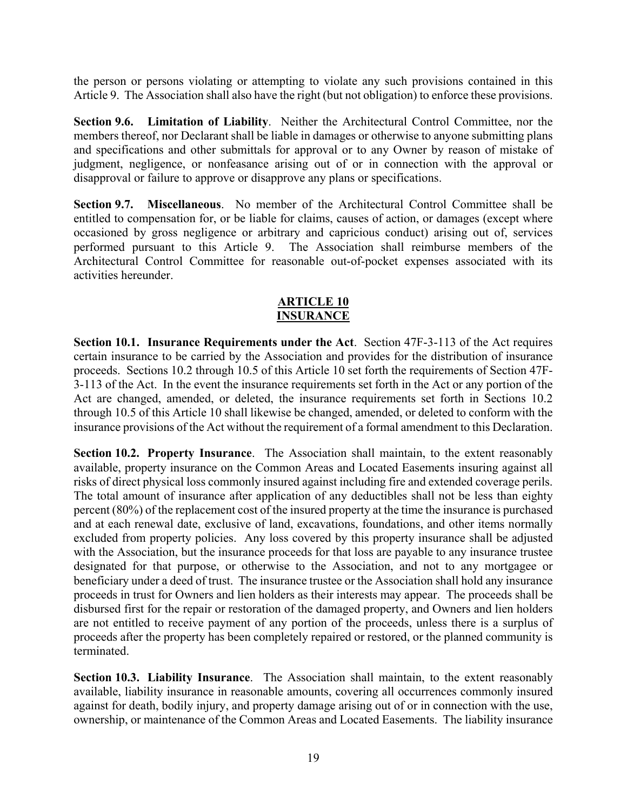the person or persons violating or attempting to violate any such provisions contained in this Article 9. The Association shall also have the right (but not obligation) to enforce these provisions.

**Section 9.6. Limitation of Liability**. Neither the Architectural Control Committee, nor the members thereof, nor Declarant shall be liable in damages or otherwise to anyone submitting plans and specifications and other submittals for approval or to any Owner by reason of mistake of judgment, negligence, or nonfeasance arising out of or in connection with the approval or disapproval or failure to approve or disapprove any plans or specifications.

**Section 9.7. Miscellaneous**. No member of the Architectural Control Committee shall be entitled to compensation for, or be liable for claims, causes of action, or damages (except where occasioned by gross negligence or arbitrary and capricious conduct) arising out of, services performed pursuant to this Article 9. The Association shall reimburse members of the Architectural Control Committee for reasonable out-of-pocket expenses associated with its activities hereunder.

#### **ARTICLE 10 INSURANCE**

**Section 10.1. Insurance Requirements under the Act**. Section 47F-3-113 of the Act requires certain insurance to be carried by the Association and provides for the distribution of insurance proceeds. Sections 10.2 through 10.5 of this Article 10 set forth the requirements of Section 47F-3-113 of the Act. In the event the insurance requirements set forth in the Act or any portion of the Act are changed, amended, or deleted, the insurance requirements set forth in Sections 10.2 through 10.5 of this Article 10 shall likewise be changed, amended, or deleted to conform with the insurance provisions of the Act without the requirement of a formal amendment to this Declaration.

**Section 10.2. Property Insurance**. The Association shall maintain, to the extent reasonably available, property insurance on the Common Areas and Located Easements insuring against all risks of direct physical loss commonly insured against including fire and extended coverage perils. The total amount of insurance after application of any deductibles shall not be less than eighty percent (80%) of the replacement cost of the insured property at the time the insurance is purchased and at each renewal date, exclusive of land, excavations, foundations, and other items normally excluded from property policies. Any loss covered by this property insurance shall be adjusted with the Association, but the insurance proceeds for that loss are payable to any insurance trustee designated for that purpose, or otherwise to the Association, and not to any mortgagee or beneficiary under a deed of trust. The insurance trustee or the Association shall hold any insurance proceeds in trust for Owners and lien holders as their interests may appear. The proceeds shall be disbursed first for the repair or restoration of the damaged property, and Owners and lien holders are not entitled to receive payment of any portion of the proceeds, unless there is a surplus of proceeds after the property has been completely repaired or restored, or the planned community is terminated.

**Section 10.3. Liability Insurance**. The Association shall maintain, to the extent reasonably available, liability insurance in reasonable amounts, covering all occurrences commonly insured against for death, bodily injury, and property damage arising out of or in connection with the use, ownership, or maintenance of the Common Areas and Located Easements. The liability insurance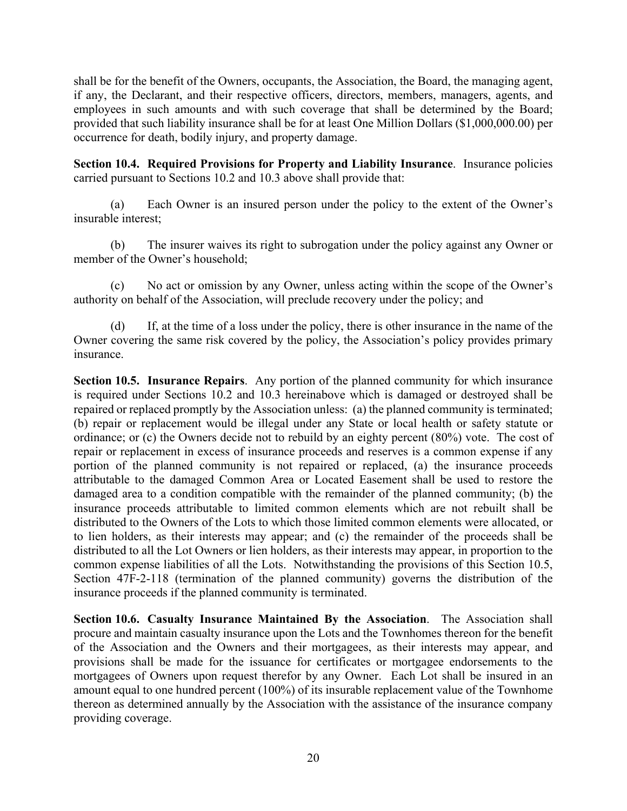shall be for the benefit of the Owners, occupants, the Association, the Board, the managing agent, if any, the Declarant, and their respective officers, directors, members, managers, agents, and employees in such amounts and with such coverage that shall be determined by the Board; provided that such liability insurance shall be for at least One Million Dollars (\$1,000,000.00) per occurrence for death, bodily injury, and property damage.

**Section 10.4. Required Provisions for Property and Liability Insurance**. Insurance policies carried pursuant to Sections 10.2 and 10.3 above shall provide that:

(a) Each Owner is an insured person under the policy to the extent of the Owner's insurable interest;

(b) The insurer waives its right to subrogation under the policy against any Owner or member of the Owner's household;

(c) No act or omission by any Owner, unless acting within the scope of the Owner's authority on behalf of the Association, will preclude recovery under the policy; and

(d) If, at the time of a loss under the policy, there is other insurance in the name of the Owner covering the same risk covered by the policy, the Association's policy provides primary insurance.

**Section 10.5. Insurance Repairs**. Any portion of the planned community for which insurance is required under Sections 10.2 and 10.3 hereinabove which is damaged or destroyed shall be repaired or replaced promptly by the Association unless: (a) the planned community is terminated; (b) repair or replacement would be illegal under any State or local health or safety statute or ordinance; or (c) the Owners decide not to rebuild by an eighty percent (80%) vote. The cost of repair or replacement in excess of insurance proceeds and reserves is a common expense if any portion of the planned community is not repaired or replaced, (a) the insurance proceeds attributable to the damaged Common Area or Located Easement shall be used to restore the damaged area to a condition compatible with the remainder of the planned community; (b) the insurance proceeds attributable to limited common elements which are not rebuilt shall be distributed to the Owners of the Lots to which those limited common elements were allocated, or to lien holders, as their interests may appear; and (c) the remainder of the proceeds shall be distributed to all the Lot Owners or lien holders, as their interests may appear, in proportion to the common expense liabilities of all the Lots. Notwithstanding the provisions of this Section 10.5, Section 47F-2-118 (termination of the planned community) governs the distribution of the insurance proceeds if the planned community is terminated.

**Section 10.6. Casualty Insurance Maintained By the Association**. The Association shall procure and maintain casualty insurance upon the Lots and the Townhomes thereon for the benefit of the Association and the Owners and their mortgagees, as their interests may appear, and provisions shall be made for the issuance for certificates or mortgagee endorsements to the mortgagees of Owners upon request therefor by any Owner. Each Lot shall be insured in an amount equal to one hundred percent (100%) of its insurable replacement value of the Townhome thereon as determined annually by the Association with the assistance of the insurance company providing coverage.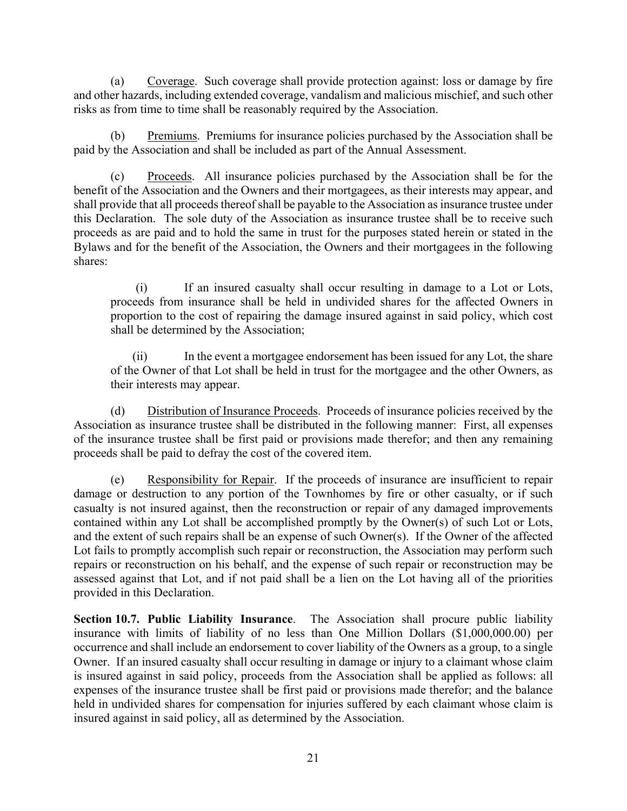(a) Coverage. Such coverage shall provide protection against: loss or damage by fire and other hazards, including extended coverage, vandalism and malicious mischief, and such other risks as from time to time shall be reasonably required by the Association.

(b) Premiums. Premiums for insurance policies purchased by the Association shall be paid by the Association and shall be included as part of the Annual Assessment.

(c) Proceeds. All insurance policies purchased by the Association shall be for the benefit of the Association and the Owners and their mortgagees, as their interests may appear, and shall provide that all proceeds thereof shall be payable to the Association as insurance trustee under this Declaration. The sole duty of the Association as insurance trustee shall be to receive such proceeds as are paid and to hold the same in trust for the purposes stated herein or stated in the Bylaws and for the benefit of the Association, the Owners and their mortgagees in the following shares:

(i) If an insured casualty shall occur resulting in damage to a Lot or Lots, proceeds from insurance shall be held in undivided shares for the affected Owners in proportion to the cost of repairing the damage insured against in said policy, which cost shall be determined by the Association;

(ii) In the event a mortgagee endorsement has been issued for any Lot, the share of the Owner of that Lot shall be held in trust for the mortgagee and the other Owners, as their interests may appear.

(d) Distribution of Insurance Proceeds. Proceeds of insurance policies received by the Association as insurance trustee shall be distributed in the following manner: First, all expenses of the insurance trustee shall be first paid or provisions made therefor; and then any remaining proceeds shall be paid to defray the cost of the covered item.

(e) Responsibility for Repair. If the proceeds of insurance are insufficient to repair damage or destruction to any portion of the Townhomes by fire or other casualty, or if such casualty is not insured against, then the reconstruction or repair of any damaged improvements contained within any Lot shall be accomplished promptly by the Owner(s) of such Lot or Lots, and the extent of such repairs shall be an expense of such Owner(s). If the Owner of the affected Lot fails to promptly accomplish such repair or reconstruction, the Association may perform such repairs or reconstruction on his behalf, and the expense of such repair or reconstruction may be assessed against that Lot, and if not paid shall be a lien on the Lot having all of the priorities provided in this Declaration.

**Section 10.7. Public Liability Insurance**. The Association shall procure public liability insurance with limits of liability of no less than One Million Dollars (\$1,000,000.00) per occurrence and shall include an endorsement to cover liability of the Owners as a group, to a single Owner. If an insured casualty shall occur resulting in damage or injury to a claimant whose claim is insured against in said policy, proceeds from the Association shall be applied as follows: all expenses of the insurance trustee shall be first paid or provisions made therefor; and the balance held in undivided shares for compensation for injuries suffered by each claimant whose claim is insured against in said policy, all as determined by the Association.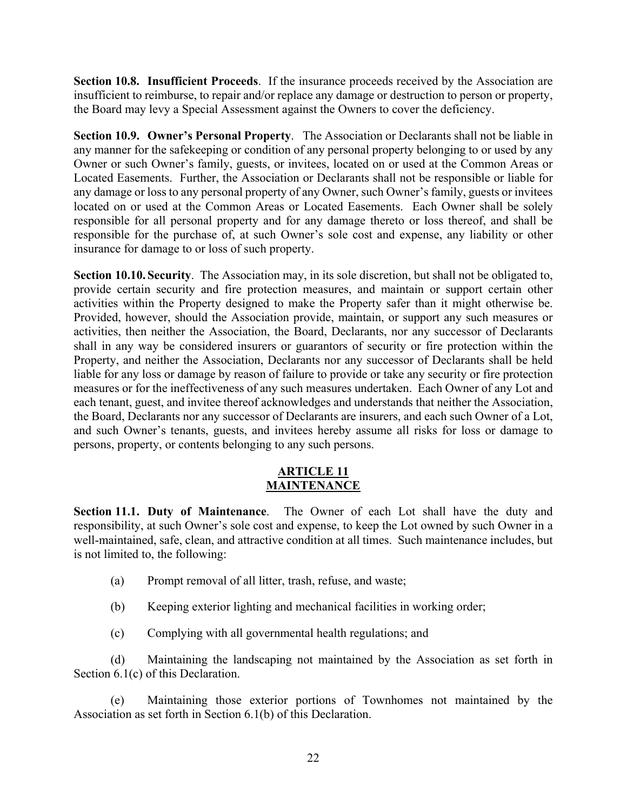**Section 10.8. Insufficient Proceeds**. If the insurance proceeds received by the Association are insufficient to reimburse, to repair and/or replace any damage or destruction to person or property, the Board may levy a Special Assessment against the Owners to cover the deficiency.

**Section 10.9. Owner's Personal Property**. The Association or Declarants shall not be liable in any manner for the safekeeping or condition of any personal property belonging to or used by any Owner or such Owner's family, guests, or invitees, located on or used at the Common Areas or Located Easements. Further, the Association or Declarants shall not be responsible or liable for any damage or loss to any personal property of any Owner, such Owner's family, guests or invitees located on or used at the Common Areas or Located Easements. Each Owner shall be solely responsible for all personal property and for any damage thereto or loss thereof, and shall be responsible for the purchase of, at such Owner's sole cost and expense, any liability or other insurance for damage to or loss of such property.

**Section 10.10. Security**. The Association may, in its sole discretion, but shall not be obligated to, provide certain security and fire protection measures, and maintain or support certain other activities within the Property designed to make the Property safer than it might otherwise be. Provided, however, should the Association provide, maintain, or support any such measures or activities, then neither the Association, the Board, Declarants, nor any successor of Declarants shall in any way be considered insurers or guarantors of security or fire protection within the Property, and neither the Association, Declarants nor any successor of Declarants shall be held liable for any loss or damage by reason of failure to provide or take any security or fire protection measures or for the ineffectiveness of any such measures undertaken. Each Owner of any Lot and each tenant, guest, and invitee thereof acknowledges and understands that neither the Association, the Board, Declarants nor any successor of Declarants are insurers, and each such Owner of a Lot, and such Owner's tenants, guests, and invitees hereby assume all risks for loss or damage to persons, property, or contents belonging to any such persons.

### **ARTICLE 11 MAINTENANCE**

**Section 11.1. Duty of Maintenance**. The Owner of each Lot shall have the duty and responsibility, at such Owner's sole cost and expense, to keep the Lot owned by such Owner in a well-maintained, safe, clean, and attractive condition at all times. Such maintenance includes, but is not limited to, the following:

- (a) Prompt removal of all litter, trash, refuse, and waste;
- (b) Keeping exterior lighting and mechanical facilities in working order;
- (c) Complying with all governmental health regulations; and

(d) Maintaining the landscaping not maintained by the Association as set forth in Section 6.1(c) of this Declaration.

(e) Maintaining those exterior portions of Townhomes not maintained by the Association as set forth in Section 6.1(b) of this Declaration.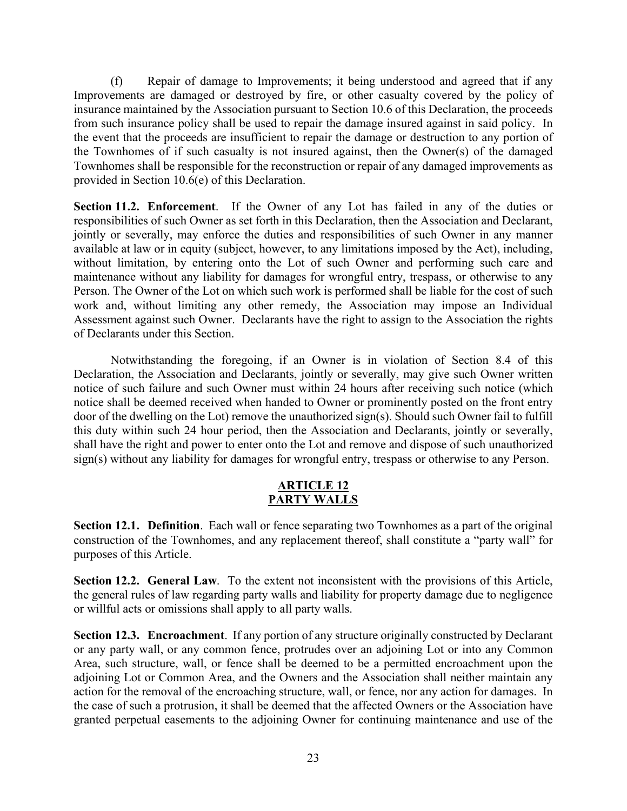(f) Repair of damage to Improvements; it being understood and agreed that if any Improvements are damaged or destroyed by fire, or other casualty covered by the policy of insurance maintained by the Association pursuant to Section 10.6 of this Declaration, the proceeds from such insurance policy shall be used to repair the damage insured against in said policy. In the event that the proceeds are insufficient to repair the damage or destruction to any portion of the Townhomes of if such casualty is not insured against, then the Owner(s) of the damaged Townhomes shall be responsible for the reconstruction or repair of any damaged improvements as provided in Section 10.6(e) of this Declaration.

**Section 11.2. Enforcement**. If the Owner of any Lot has failed in any of the duties or responsibilities of such Owner as set forth in this Declaration, then the Association and Declarant, jointly or severally, may enforce the duties and responsibilities of such Owner in any manner available at law or in equity (subject, however, to any limitations imposed by the Act), including, without limitation, by entering onto the Lot of such Owner and performing such care and maintenance without any liability for damages for wrongful entry, trespass, or otherwise to any Person. The Owner of the Lot on which such work is performed shall be liable for the cost of such work and, without limiting any other remedy, the Association may impose an Individual Assessment against such Owner. Declarants have the right to assign to the Association the rights of Declarants under this Section.

Notwithstanding the foregoing, if an Owner is in violation of Section 8.4 of this Declaration, the Association and Declarants, jointly or severally, may give such Owner written notice of such failure and such Owner must within 24 hours after receiving such notice (which notice shall be deemed received when handed to Owner or prominently posted on the front entry door of the dwelling on the Lot) remove the unauthorized sign(s). Should such Owner fail to fulfill this duty within such 24 hour period, then the Association and Declarants, jointly or severally, shall have the right and power to enter onto the Lot and remove and dispose of such unauthorized sign(s) without any liability for damages for wrongful entry, trespass or otherwise to any Person.

### **ARTICLE 12 PARTY WALLS**

**Section 12.1. Definition**. Each wall or fence separating two Townhomes as a part of the original construction of the Townhomes, and any replacement thereof, shall constitute a "party wall" for purposes of this Article.

**Section 12.2. General Law**. To the extent not inconsistent with the provisions of this Article, the general rules of law regarding party walls and liability for property damage due to negligence or willful acts or omissions shall apply to all party walls.

**Section 12.3. Encroachment**. If any portion of any structure originally constructed by Declarant or any party wall, or any common fence, protrudes over an adjoining Lot or into any Common Area, such structure, wall, or fence shall be deemed to be a permitted encroachment upon the adjoining Lot or Common Area, and the Owners and the Association shall neither maintain any action for the removal of the encroaching structure, wall, or fence, nor any action for damages. In the case of such a protrusion, it shall be deemed that the affected Owners or the Association have granted perpetual easements to the adjoining Owner for continuing maintenance and use of the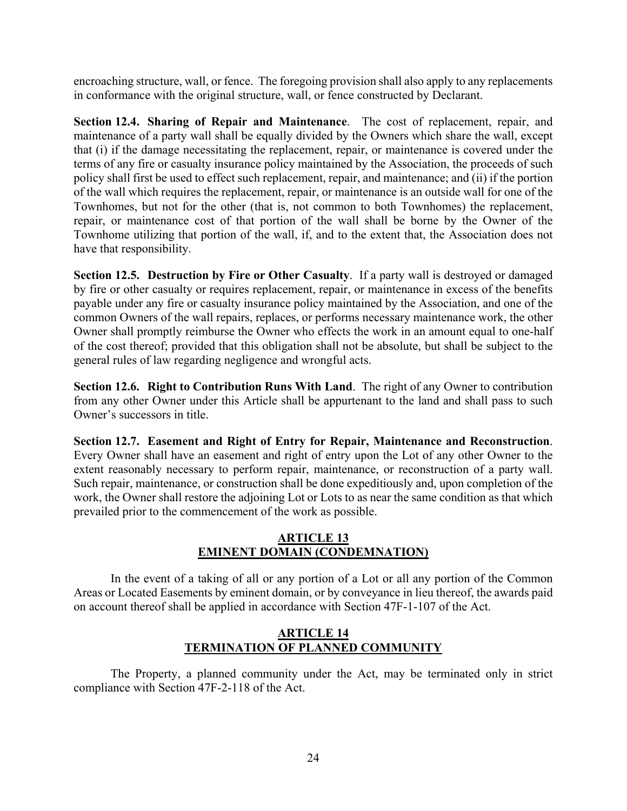encroaching structure, wall, or fence. The foregoing provision shall also apply to any replacements in conformance with the original structure, wall, or fence constructed by Declarant.

**Section 12.4. Sharing of Repair and Maintenance**. The cost of replacement, repair, and maintenance of a party wall shall be equally divided by the Owners which share the wall, except that (i) if the damage necessitating the replacement, repair, or maintenance is covered under the terms of any fire or casualty insurance policy maintained by the Association, the proceeds of such policy shall first be used to effect such replacement, repair, and maintenance; and (ii) if the portion of the wall which requires the replacement, repair, or maintenance is an outside wall for one of the Townhomes, but not for the other (that is, not common to both Townhomes) the replacement, repair, or maintenance cost of that portion of the wall shall be borne by the Owner of the Townhome utilizing that portion of the wall, if, and to the extent that, the Association does not have that responsibility.

**Section 12.5. Destruction by Fire or Other Casualty**. If a party wall is destroyed or damaged by fire or other casualty or requires replacement, repair, or maintenance in excess of the benefits payable under any fire or casualty insurance policy maintained by the Association, and one of the common Owners of the wall repairs, replaces, or performs necessary maintenance work, the other Owner shall promptly reimburse the Owner who effects the work in an amount equal to one-half of the cost thereof; provided that this obligation shall not be absolute, but shall be subject to the general rules of law regarding negligence and wrongful acts.

**Section 12.6. Right to Contribution Runs With Land**. The right of any Owner to contribution from any other Owner under this Article shall be appurtenant to the land and shall pass to such Owner's successors in title.

**Section 12.7. Easement and Right of Entry for Repair, Maintenance and Reconstruction**. Every Owner shall have an easement and right of entry upon the Lot of any other Owner to the extent reasonably necessary to perform repair, maintenance, or reconstruction of a party wall. Such repair, maintenance, or construction shall be done expeditiously and, upon completion of the work, the Owner shall restore the adjoining Lot or Lots to as near the same condition as that which prevailed prior to the commencement of the work as possible.

### **ARTICLE 13 EMINENT DOMAIN (CONDEMNATION)**

In the event of a taking of all or any portion of a Lot or all any portion of the Common Areas or Located Easements by eminent domain, or by conveyance in lieu thereof, the awards paid on account thereof shall be applied in accordance with Section 47F-1-107 of the Act.

### **ARTICLE 14 TERMINATION OF PLANNED COMMUNITY**

The Property, a planned community under the Act, may be terminated only in strict compliance with Section 47F-2-118 of the Act.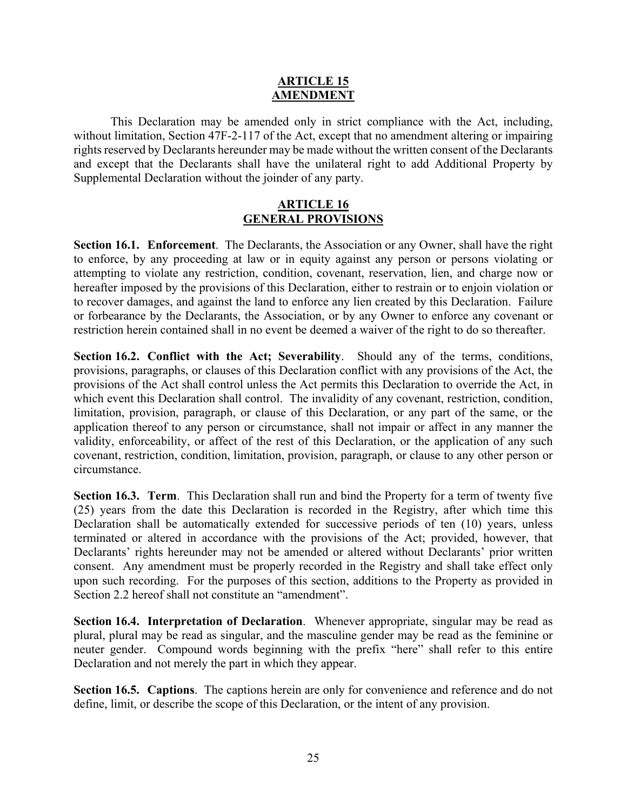#### **ARTICLE 15 AMENDMENT**

This Declaration may be amended only in strict compliance with the Act, including, without limitation, Section 47F-2-117 of the Act, except that no amendment altering or impairing rights reserved by Declarants hereunder may be made without the written consent of the Declarants and except that the Declarants shall have the unilateral right to add Additional Property by Supplemental Declaration without the joinder of any party.

#### **ARTICLE 16 GENERAL PROVISIONS**

**Section 16.1. Enforcement**. The Declarants, the Association or any Owner, shall have the right to enforce, by any proceeding at law or in equity against any person or persons violating or attempting to violate any restriction, condition, covenant, reservation, lien, and charge now or hereafter imposed by the provisions of this Declaration, either to restrain or to enjoin violation or to recover damages, and against the land to enforce any lien created by this Declaration. Failure or forbearance by the Declarants, the Association, or by any Owner to enforce any covenant or restriction herein contained shall in no event be deemed a waiver of the right to do so thereafter.

**Section 16.2. Conflict with the Act; Severability**. Should any of the terms, conditions, provisions, paragraphs, or clauses of this Declaration conflict with any provisions of the Act, the provisions of the Act shall control unless the Act permits this Declaration to override the Act, in which event this Declaration shall control. The invalidity of any covenant, restriction, condition, limitation, provision, paragraph, or clause of this Declaration, or any part of the same, or the application thereof to any person or circumstance, shall not impair or affect in any manner the validity, enforceability, or affect of the rest of this Declaration, or the application of any such covenant, restriction, condition, limitation, provision, paragraph, or clause to any other person or circumstance.

**Section 16.3. Term**. This Declaration shall run and bind the Property for a term of twenty five (25) years from the date this Declaration is recorded in the Registry, after which time this Declaration shall be automatically extended for successive periods of ten (10) years, unless terminated or altered in accordance with the provisions of the Act; provided, however, that Declarants' rights hereunder may not be amended or altered without Declarants' prior written consent. Any amendment must be properly recorded in the Registry and shall take effect only upon such recording. For the purposes of this section, additions to the Property as provided in Section 2.2 hereof shall not constitute an "amendment".

**Section 16.4. Interpretation of Declaration**. Whenever appropriate, singular may be read as plural, plural may be read as singular, and the masculine gender may be read as the feminine or neuter gender. Compound words beginning with the prefix "here" shall refer to this entire Declaration and not merely the part in which they appear.

**Section 16.5. Captions**. The captions herein are only for convenience and reference and do not define, limit, or describe the scope of this Declaration, or the intent of any provision.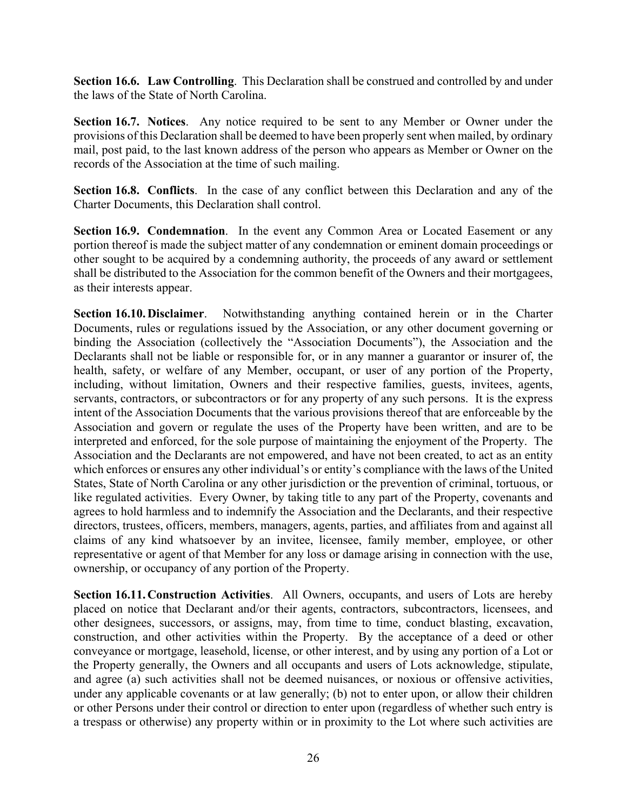**Section 16.6. Law Controlling**. This Declaration shall be construed and controlled by and under the laws of the State of North Carolina.

**Section 16.7. Notices**. Any notice required to be sent to any Member or Owner under the provisions of this Declaration shall be deemed to have been properly sent when mailed, by ordinary mail, post paid, to the last known address of the person who appears as Member or Owner on the records of the Association at the time of such mailing.

**Section 16.8. Conflicts**. In the case of any conflict between this Declaration and any of the Charter Documents, this Declaration shall control.

**Section 16.9. Condemnation**. In the event any Common Area or Located Easement or any portion thereof is made the subject matter of any condemnation or eminent domain proceedings or other sought to be acquired by a condemning authority, the proceeds of any award or settlement shall be distributed to the Association for the common benefit of the Owners and their mortgagees, as their interests appear.

**Section 16.10. Disclaimer**. Notwithstanding anything contained herein or in the Charter Documents, rules or regulations issued by the Association, or any other document governing or binding the Association (collectively the "Association Documents"), the Association and the Declarants shall not be liable or responsible for, or in any manner a guarantor or insurer of, the health, safety, or welfare of any Member, occupant, or user of any portion of the Property, including, without limitation, Owners and their respective families, guests, invitees, agents, servants, contractors, or subcontractors or for any property of any such persons. It is the express intent of the Association Documents that the various provisions thereof that are enforceable by the Association and govern or regulate the uses of the Property have been written, and are to be interpreted and enforced, for the sole purpose of maintaining the enjoyment of the Property. The Association and the Declarants are not empowered, and have not been created, to act as an entity which enforces or ensures any other individual's or entity's compliance with the laws of the United States, State of North Carolina or any other jurisdiction or the prevention of criminal, tortuous, or like regulated activities. Every Owner, by taking title to any part of the Property, covenants and agrees to hold harmless and to indemnify the Association and the Declarants, and their respective directors, trustees, officers, members, managers, agents, parties, and affiliates from and against all claims of any kind whatsoever by an invitee, licensee, family member, employee, or other representative or agent of that Member for any loss or damage arising in connection with the use, ownership, or occupancy of any portion of the Property.

**Section 16.11. Construction Activities**. All Owners, occupants, and users of Lots are hereby placed on notice that Declarant and/or their agents, contractors, subcontractors, licensees, and other designees, successors, or assigns, may, from time to time, conduct blasting, excavation, construction, and other activities within the Property. By the acceptance of a deed or other conveyance or mortgage, leasehold, license, or other interest, and by using any portion of a Lot or the Property generally, the Owners and all occupants and users of Lots acknowledge, stipulate, and agree (a) such activities shall not be deemed nuisances, or noxious or offensive activities, under any applicable covenants or at law generally; (b) not to enter upon, or allow their children or other Persons under their control or direction to enter upon (regardless of whether such entry is a trespass or otherwise) any property within or in proximity to the Lot where such activities are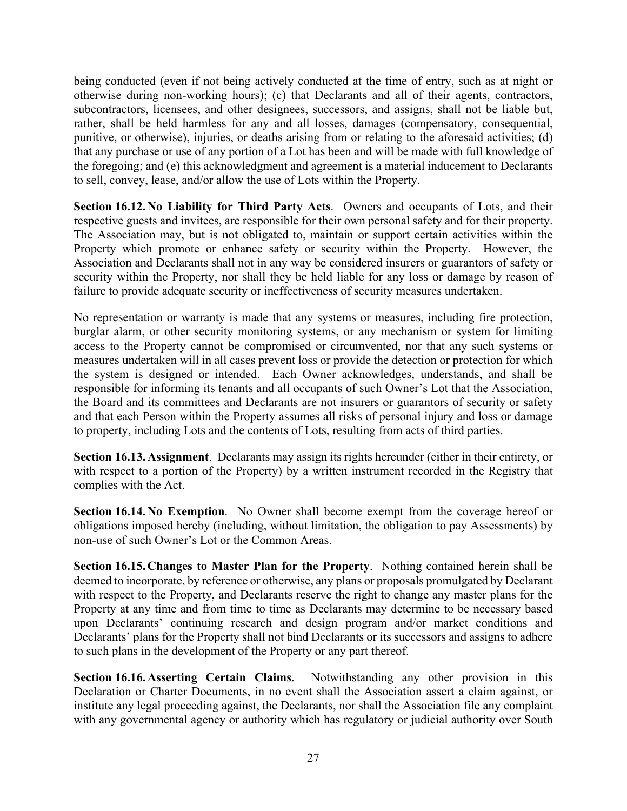being conducted (even if not being actively conducted at the time of entry, such as at night or otherwise during non-working hours); (c) that Declarants and all of their agents, contractors, subcontractors, licensees, and other designees, successors, and assigns, shall not be liable but, rather, shall be held harmless for any and all losses, damages (compensatory, consequential, punitive, or otherwise), injuries, or deaths arising from or relating to the aforesaid activities; (d) that any purchase or use of any portion of a Lot has been and will be made with full knowledge of the foregoing; and (e) this acknowledgment and agreement is a material inducement to Declarants to sell, convey, lease, and/or allow the use of Lots within the Property.

**Section 16.12. No Liability for Third Party Acts**. Owners and occupants of Lots, and their respective guests and invitees, are responsible for their own personal safety and for their property. The Association may, but is not obligated to, maintain or support certain activities within the Property which promote or enhance safety or security within the Property. However, the Association and Declarants shall not in any way be considered insurers or guarantors of safety or security within the Property, nor shall they be held liable for any loss or damage by reason of failure to provide adequate security or ineffectiveness of security measures undertaken.

No representation or warranty is made that any systems or measures, including fire protection, burglar alarm, or other security monitoring systems, or any mechanism or system for limiting access to the Property cannot be compromised or circumvented, nor that any such systems or measures undertaken will in all cases prevent loss or provide the detection or protection for which the system is designed or intended. Each Owner acknowledges, understands, and shall be responsible for informing its tenants and all occupants of such Owner's Lot that the Association, the Board and its committees and Declarants are not insurers or guarantors of security or safety and that each Person within the Property assumes all risks of personal injury and loss or damage to property, including Lots and the contents of Lots, resulting from acts of third parties.

**Section 16.13. Assignment**. Declarants may assign its rights hereunder (either in their entirety, or with respect to a portion of the Property) by a written instrument recorded in the Registry that complies with the Act.

**Section 16.14. No Exemption**. No Owner shall become exempt from the coverage hereof or obligations imposed hereby (including, without limitation, the obligation to pay Assessments) by non-use of such Owner's Lot or the Common Areas.

**Section 16.15. Changes to Master Plan for the Property**. Nothing contained herein shall be deemed to incorporate, by reference or otherwise, any plans or proposals promulgated by Declarant with respect to the Property, and Declarants reserve the right to change any master plans for the Property at any time and from time to time as Declarants may determine to be necessary based upon Declarants' continuing research and design program and/or market conditions and Declarants' plans for the Property shall not bind Declarants or its successors and assigns to adhere to such plans in the development of the Property or any part thereof.

**Section 16.16. Asserting Certain Claims**. Notwithstanding any other provision in this Declaration or Charter Documents, in no event shall the Association assert a claim against, or institute any legal proceeding against, the Declarants, nor shall the Association file any complaint with any governmental agency or authority which has regulatory or judicial authority over South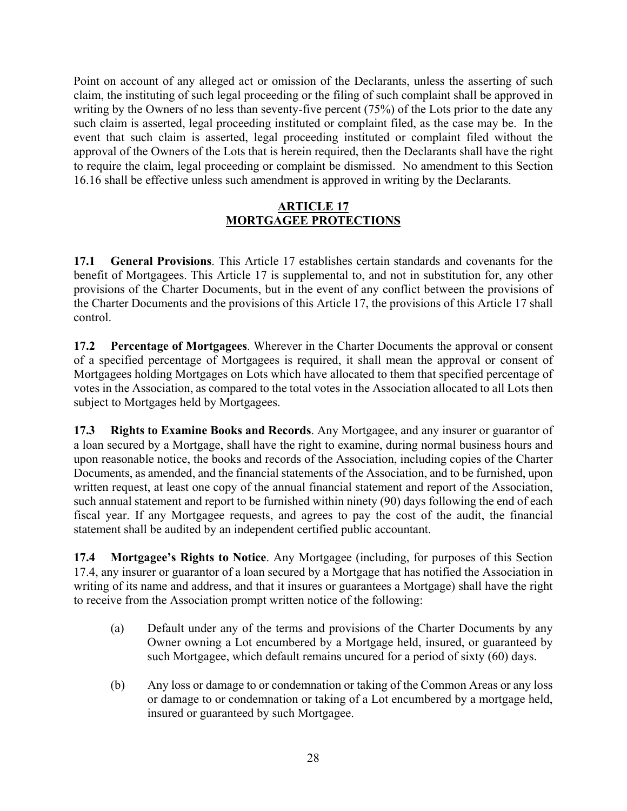Point on account of any alleged act or omission of the Declarants, unless the asserting of such claim, the instituting of such legal proceeding or the filing of such complaint shall be approved in writing by the Owners of no less than seventy-five percent (75%) of the Lots prior to the date any such claim is asserted, legal proceeding instituted or complaint filed, as the case may be. In the event that such claim is asserted, legal proceeding instituted or complaint filed without the approval of the Owners of the Lots that is herein required, then the Declarants shall have the right to require the claim, legal proceeding or complaint be dismissed. No amendment to this Section 16.16 shall be effective unless such amendment is approved in writing by the Declarants.

### **ARTICLE 17 MORTGAGEE PROTECTIONS**

**17.1 General Provisions**. This Article 17 establishes certain standards and covenants for the benefit of Mortgagees. This Article 17 is supplemental to, and not in substitution for, any other provisions of the Charter Documents, but in the event of any conflict between the provisions of the Charter Documents and the provisions of this Article 17, the provisions of this Article 17 shall control.

**17.2 Percentage of Mortgagees**. Wherever in the Charter Documents the approval or consent of a specified percentage of Mortgagees is required, it shall mean the approval or consent of Mortgagees holding Mortgages on Lots which have allocated to them that specified percentage of votes in the Association, as compared to the total votes in the Association allocated to all Lots then subject to Mortgages held by Mortgagees.

**17.3 Rights to Examine Books and Records**. Any Mortgagee, and any insurer or guarantor of a loan secured by a Mortgage, shall have the right to examine, during normal business hours and upon reasonable notice, the books and records of the Association, including copies of the Charter Documents, as amended, and the financial statements of the Association, and to be furnished, upon written request, at least one copy of the annual financial statement and report of the Association, such annual statement and report to be furnished within ninety (90) days following the end of each fiscal year. If any Mortgagee requests, and agrees to pay the cost of the audit, the financial statement shall be audited by an independent certified public accountant.

**17.4 Mortgagee's Rights to Notice**. Any Mortgagee (including, for purposes of this Section 17.4, any insurer or guarantor of a loan secured by a Mortgage that has notified the Association in writing of its name and address, and that it insures or guarantees a Mortgage) shall have the right to receive from the Association prompt written notice of the following:

- (a) Default under any of the terms and provisions of the Charter Documents by any Owner owning a Lot encumbered by a Mortgage held, insured, or guaranteed by such Mortgagee, which default remains uncured for a period of sixty (60) days.
- (b) Any loss or damage to or condemnation or taking of the Common Areas or any loss or damage to or condemnation or taking of a Lot encumbered by a mortgage held, insured or guaranteed by such Mortgagee.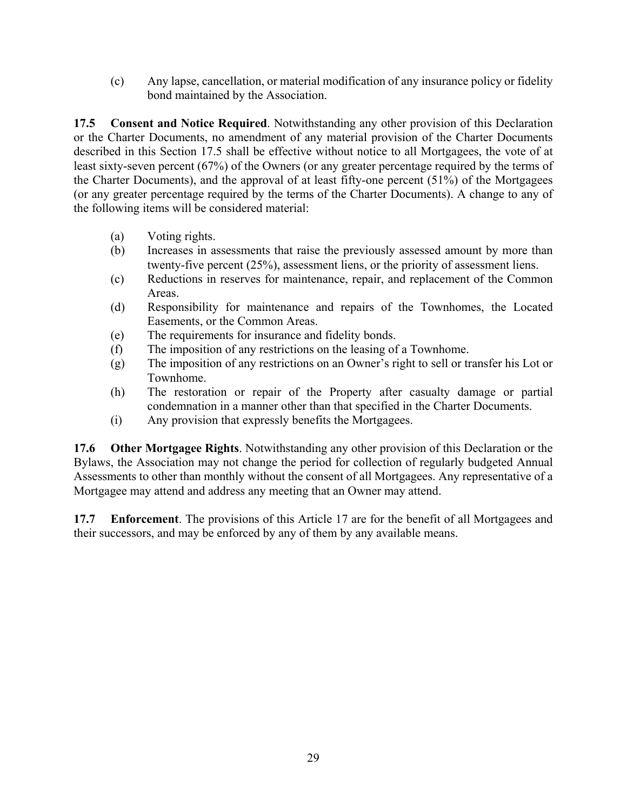(c) Any lapse, cancellation, or material modification of any insurance policy or fidelity bond maintained by the Association.

**17.5 Consent and Notice Required**. Notwithstanding any other provision of this Declaration or the Charter Documents, no amendment of any material provision of the Charter Documents described in this Section 17.5 shall be effective without notice to all Mortgagees, the vote of at least sixty-seven percent (67%) of the Owners (or any greater percentage required by the terms of the Charter Documents), and the approval of at least fifty-one percent (51%) of the Mortgagees (or any greater percentage required by the terms of the Charter Documents). A change to any of the following items will be considered material:

- (a) Voting rights.
- (b) Increases in assessments that raise the previously assessed amount by more than twenty-five percent (25%), assessment liens, or the priority of assessment liens.
- (c) Reductions in reserves for maintenance, repair, and replacement of the Common Areas.
- (d) Responsibility for maintenance and repairs of the Townhomes, the Located Easements, or the Common Areas.
- (e) The requirements for insurance and fidelity bonds.
- (f) The imposition of any restrictions on the leasing of a Townhome.
- (g) The imposition of any restrictions on an Owner's right to sell or transfer his Lot or Townhome.
- (h) The restoration or repair of the Property after casualty damage or partial condemnation in a manner other than that specified in the Charter Documents.
- (i) Any provision that expressly benefits the Mortgagees.

**17.6 Other Mortgagee Rights**. Notwithstanding any other provision of this Declaration or the Bylaws, the Association may not change the period for collection of regularly budgeted Annual Assessments to other than monthly without the consent of all Mortgagees. Any representative of a Mortgagee may attend and address any meeting that an Owner may attend.

**17.7 Enforcement**. The provisions of this Article 17 are for the benefit of all Mortgagees and their successors, and may be enforced by any of them by any available means.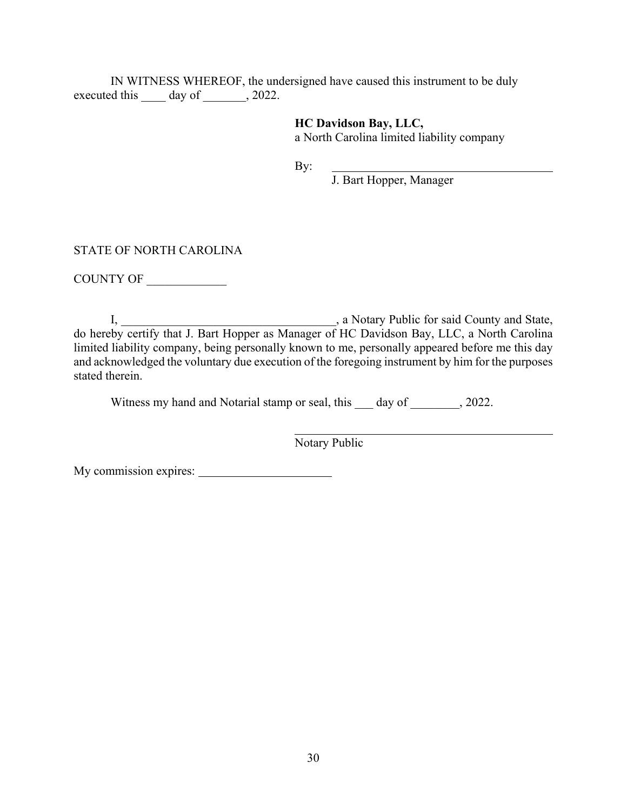IN WITNESS WHEREOF, the undersigned have caused this instrument to be duly executed this day of  $\qquad \qquad$ , 2022.

> **HC Davidson Bay, LLC,**  a North Carolina limited liability company

By:

J. Bart Hopper, Manager

#### STATE OF NORTH CAROLINA

COUNTY OF

I, **I**, **Example 2.1** a Notary Public for said County and State, do hereby certify that J. Bart Hopper as Manager of HC Davidson Bay, LLC, a North Carolina limited liability company, being personally known to me, personally appeared before me this day and acknowledged the voluntary due execution of the foregoing instrument by him for the purposes stated therein.

Witness my hand and Notarial stamp or seal, this day of 3022.

 $\overline{a}$ 

Notary Public

My commission expires: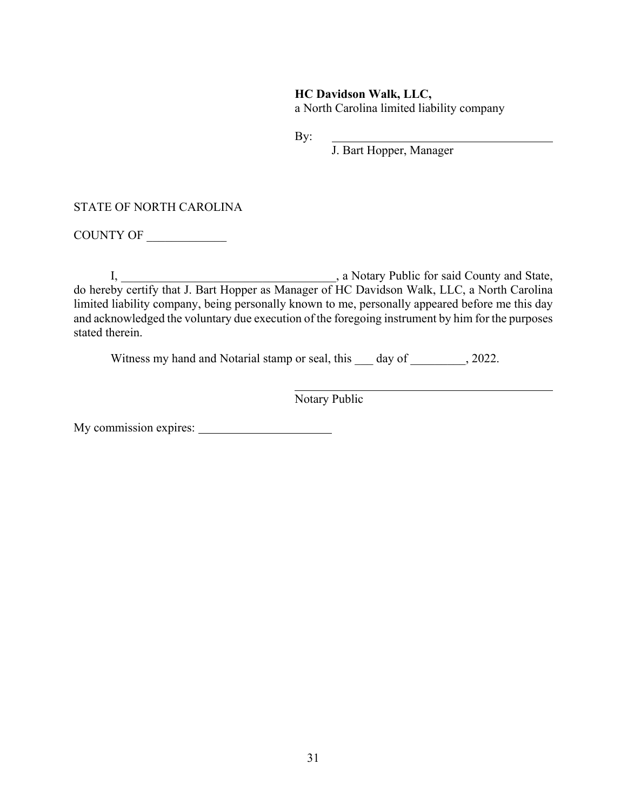### **HC Davidson Walk, LLC,**

a North Carolina limited liability company

By:

J. Bart Hopper, Manager

#### STATE OF NORTH CAROLINA

COUNTY OF \_\_\_\_\_\_\_\_\_\_\_\_\_

I, **I**, **Example 2.1** a Notary Public for said County and State, do hereby certify that J. Bart Hopper as Manager of HC Davidson Walk, LLC, a North Carolina limited liability company, being personally known to me, personally appeared before me this day and acknowledged the voluntary due execution of the foregoing instrument by him for the purposes stated therein.

Witness my hand and Notarial stamp or seal, this day of , 2022.

 $\overline{a}$ 

Notary Public

My commission expires: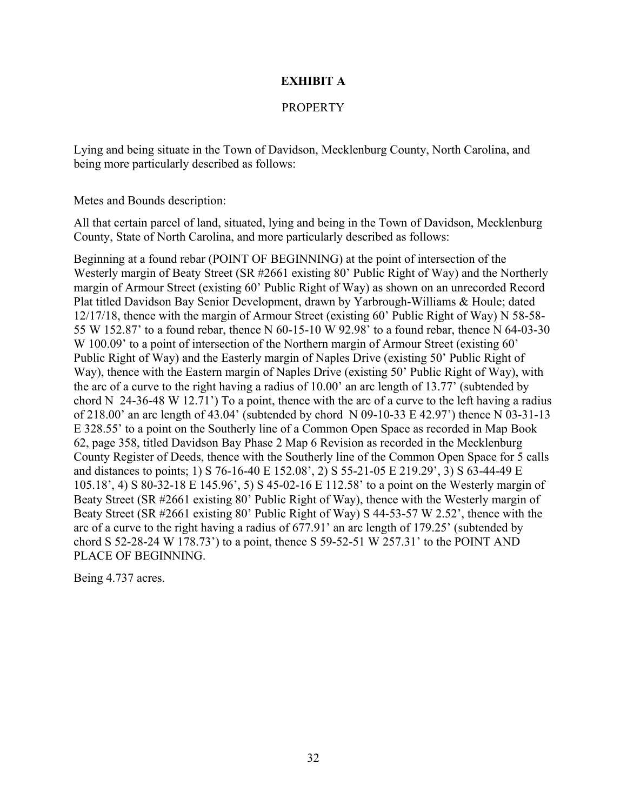### **EXHIBIT A**

### PROPERTY

Lying and being situate in the Town of Davidson, Mecklenburg County, North Carolina, and being more particularly described as follows:

Metes and Bounds description:

All that certain parcel of land, situated, lying and being in the Town of Davidson, Mecklenburg County, State of North Carolina, and more particularly described as follows:

Beginning at a found rebar (POINT OF BEGINNING) at the point of intersection of the Westerly margin of Beaty Street (SR #2661 existing 80' Public Right of Way) and the Northerly margin of Armour Street (existing 60' Public Right of Way) as shown on an unrecorded Record Plat titled Davidson Bay Senior Development, drawn by Yarbrough-Williams & Houle; dated 12/17/18, thence with the margin of Armour Street (existing 60' Public Right of Way) N 58-58- 55 W 152.87' to a found rebar, thence N 60-15-10 W 92.98' to a found rebar, thence N 64-03-30 W 100.09' to a point of intersection of the Northern margin of Armour Street (existing 60' Public Right of Way) and the Easterly margin of Naples Drive (existing 50' Public Right of Way), thence with the Eastern margin of Naples Drive (existing 50' Public Right of Way), with the arc of a curve to the right having a radius of 10.00' an arc length of 13.77' (subtended by chord N 24-36-48 W 12.71') To a point, thence with the arc of a curve to the left having a radius of 218.00' an arc length of 43.04' (subtended by chord N 09-10-33 E 42.97') thence N 03-31-13 E 328.55' to a point on the Southerly line of a Common Open Space as recorded in Map Book 62, page 358, titled Davidson Bay Phase 2 Map 6 Revision as recorded in the Mecklenburg County Register of Deeds, thence with the Southerly line of the Common Open Space for 5 calls and distances to points; 1) S 76-16-40 E 152.08', 2) S 55-21-05 E 219.29', 3) S 63-44-49 E 105.18', 4) S 80-32-18 E 145.96', 5) S 45-02-16 E 112.58' to a point on the Westerly margin of Beaty Street (SR #2661 existing 80' Public Right of Way), thence with the Westerly margin of Beaty Street (SR #2661 existing 80' Public Right of Way) S 44-53-57 W 2.52', thence with the arc of a curve to the right having a radius of 677.91' an arc length of 179.25' (subtended by chord S 52-28-24 W 178.73') to a point, thence S 59-52-51 W 257.31' to the POINT AND PLACE OF BEGINNING.

Being 4.737 acres.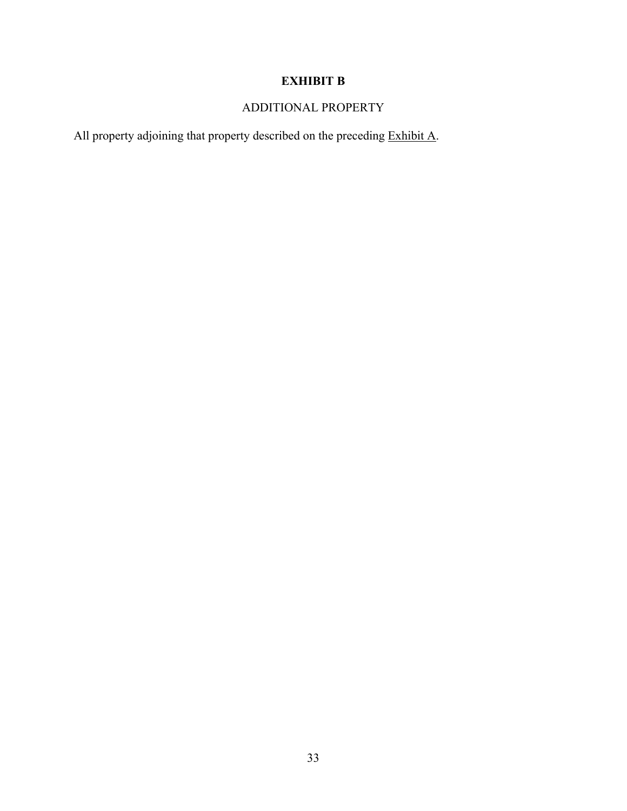# **EXHIBIT B**

# ADDITIONAL PROPERTY

All property adjoining that property described on the preceding Exhibit A.